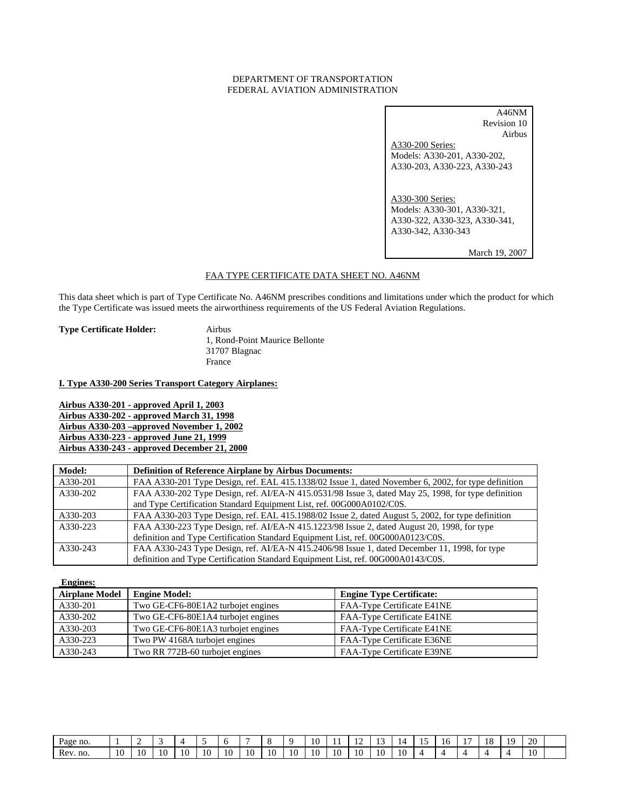# DEPARTMENT OF TRANSPORTATION FEDERAL AVIATION ADMINISTRATION

A46NM Revision 10 Airbus A330-200 Series: Models: A330-201, A330-202, A330-203, A330-223, A330-243 A330-300 Series: Models: A330-301, A330-321, A330-322, A330-323, A330-341, A330-342, A330-343

March 19, 2007

# FAA TYPE CERTIFICATE DATA SHEET NO. A46NM

This data sheet which is part of Type Certificate No. A46NM prescribes conditions and limitations under which the product for which the Type Certificate was issued meets the airworthiness requirements of the US Federal Aviation Regulations.

**Type Certificate Holder:** Airbus

 1, Rond-Point Maurice Bellonte 31707 Blagnac France

**I. Type A330-200 Series Transport Category Airplanes:**

**Airbus A330-201 - approved April 1, 2003 Airbus A330-202 - approved March 31, 1998 Airbus A330-203 –approved November 1, 2002 Airbus A330-223 - approved June 21, 1999 Airbus A330-243 - approved December 21, 2000**

| <b>Model:</b> | <b>Definition of Reference Airplane by Airbus Documents:</b>                                        |
|---------------|-----------------------------------------------------------------------------------------------------|
| A330-201      | FAA A330-201 Type Design, ref. EAL 415.1338/02 Issue 1, dated November 6, 2002, for type definition |
| A330-202      | FAA A330-202 Type Design, ref. AI/EA-N 415.0531/98 Issue 3, dated May 25, 1998, for type definition |
|               | and Type Certification Standard Equipment List, ref. 00G000A0102/C0S.                               |
| A330-203      | FAA A330-203 Type Design, ref. EAL 415.1988/02 Issue 2, dated August 5, 2002, for type definition   |
| A330-223      | FAA A330-223 Type Design, ref. AI/EA-N 415.1223/98 Issue 2, dated August 20, 1998, for type         |
|               | definition and Type Certification Standard Equipment List, ref. 00G000A0123/C0S.                    |
| A330-243      | FAA A330-243 Type Design, ref. AI/EA-N 415.2406/98 Issue 1, dated December 11, 1998, for type       |
|               | definition and Type Certification Standard Equipment List, ref. 00G000A0143/C0S.                    |

 **Engines:**

| <b>Airplane Model</b> | <b>Engine Model:</b>               | <b>Engine Type Certificate:</b> |
|-----------------------|------------------------------------|---------------------------------|
| A330-201              | Two GE-CF6-80E1A2 turbojet engines | FAA-Type Certificate E41NE      |
| A330-202              | Two GE-CF6-80E1A4 turbojet engines | FAA-Type Certificate E41NE      |
| A330-203              | Two GE-CF6-80E1A3 turbojet engines | FAA-Type Certificate E41NE      |
| A330-223              | Two PW 4168A turbojet engines      | FAA-Type Certificate E36NE      |
| A330-243              | Two RR 772B-60 turbojet engines    | FAA-Type Certificate E39NE      |

| Page no.  |               |    |    | $\overline{\phantom{a}}$ |    |    |    |    | u            | 10 | . . | .  |    | 4  | -<br> | $\overline{\phantom{a}}$ | . .<br>$\overline{\phantom{a}}$ | 1 O<br>10 | 1 O | 20 |  |
|-----------|---------------|----|----|--------------------------|----|----|----|----|--------------|----|-----|----|----|----|-------|--------------------------|---------------------------------|-----------|-----|----|--|
| no<br>Rev | $\sim$<br>1 U | 10 | 10 | 10                       | 10 | 10 | 10 | 10 | $\sim$<br>10 | 10 | 10  | 10 | 10 | 10 |       |                          |                                 |           |     | 10 |  |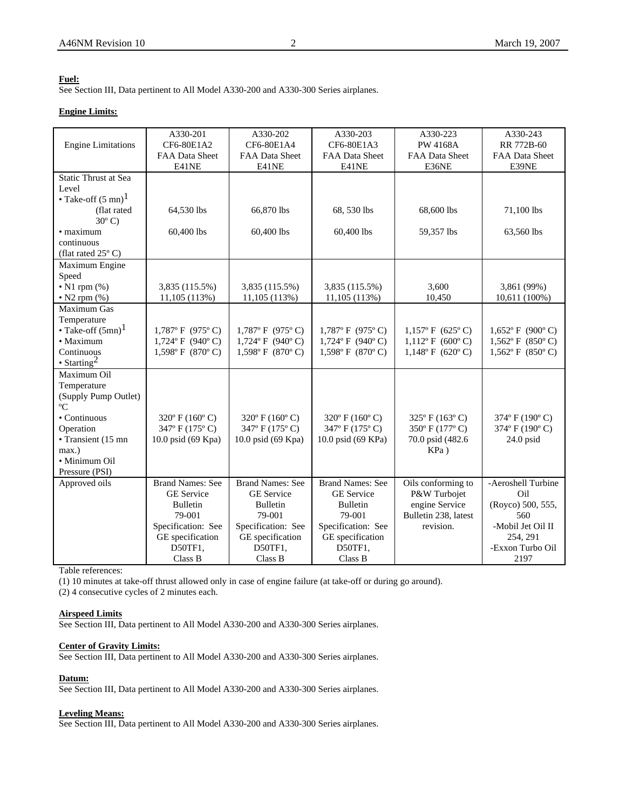# **Fuel:**

See Section III, Data pertinent to All Model A330-200 and A330-300 Series airplanes.

# **Engine Limits:**

|                               | A330-201                | A330-202                           | A330-203                           | A330-223                  | A330-243           |
|-------------------------------|-------------------------|------------------------------------|------------------------------------|---------------------------|--------------------|
| <b>Engine Limitations</b>     | CF6-80E1A2              | CF6-80E1A4                         | CF6-80E1A3                         | <b>PW 4168A</b>           | RR 772B-60         |
|                               | FAA Data Sheet          | FAA Data Sheet                     | FAA Data Sheet                     | FAA Data Sheet            | FAA Data Sheet     |
|                               | E41NE                   | E41NE                              | E41NE                              | E36NE                     | E39NE              |
| Static Thrust at Sea          |                         |                                    |                                    |                           |                    |
| Level                         |                         |                                    |                                    |                           |                    |
| • Take-off $(5 \text{ mn})^1$ |                         |                                    |                                    |                           |                    |
| (flat rated                   | 64,530 lbs              | 66,870 lbs                         | 68, 530 lbs                        | 68,600 lbs                | 71,100 lbs         |
| $30^{\circ}$ C)               |                         |                                    |                                    |                           |                    |
| · maximum                     | 60,400 lbs              | 60,400 lbs                         | 60,400 lbs                         | 59,357 lbs                | 63,560 lbs         |
| continuous                    |                         |                                    |                                    |                           |                    |
| (flat rated $25^{\circ}$ C)   |                         |                                    |                                    |                           |                    |
| Maximum Engine                |                         |                                    |                                    |                           |                    |
| Speed                         |                         |                                    |                                    |                           |                    |
| $\bullet$ N1 rpm $(\%)$       | 3,835 (115.5%)          | 3,835 (115.5%)                     | 3,835 (115.5%)                     | 3,600                     | 3,861 (99%)        |
| $\bullet$ N2 rpm $(\%)$       | 11,105 (113%)           | 11,105(113%)                       | 11,105(113%)                       | 10,450                    | 10,611 (100%)      |
| Maximum Gas                   |                         |                                    |                                    |                           |                    |
| Temperature                   |                         |                                    |                                    |                           |                    |
| • Take-off $(5mn)^1$          | $1,787$ °F (975°C)      | $1,787$ °F (975°C)                 | $1,787$ °F (975°C)                 | $1,157^{\circ}$ F (625°C) | $1,652$ °F (900°C) |
| • Maximum                     | $1,724$ °F (940°C)      | $1,724$ °F (940°C)                 | $1,724$ °F (940°C)                 | $1,112^{\circ}$ F (600°C) | $1,562$ °F (850°C) |
| Continuous                    | $1,598$ °F (870°C)      | $1,598$ °F (870°C)                 | $1,598$ °F (870°C)                 | $1,148^{\circ}$ F (620°C) | $1,562$ °F (850°C) |
| $\cdot$ Starting <sup>2</sup> |                         |                                    |                                    |                           |                    |
| Maximum Oil                   |                         |                                    |                                    |                           |                    |
| Temperature                   |                         |                                    |                                    |                           |                    |
| (Supply Pump Outlet)          |                         |                                    |                                    |                           |                    |
| °C                            |                         |                                    |                                    |                           |                    |
| • Continuous                  | $320^{\circ}$ F (160°C) | $320^{\circ}$ F (160 $^{\circ}$ C) | $320^{\circ}$ F (160 $^{\circ}$ C) | $325^{\circ}$ F (163°C)   | 374° F (190° C)    |
| Operation                     | 347° F (175° C)         | 347° F (175° C)                    | 347° F (175° C)                    | 350° F (177° C)           | 374° F (190° C)    |
| • Transient (15 mn            | 10.0 psid (69 Kpa)      | 10.0 psid (69 Kpa)                 | 10.0 psid (69 KPa)                 | 70.0 psid (482.6)         | $24.0$ psid        |
| max.)                         |                         |                                    |                                    | $KPa$ )                   |                    |
| · Minimum Oil                 |                         |                                    |                                    |                           |                    |
| Pressure (PSI)                |                         |                                    |                                    |                           |                    |
| Approved oils                 | <b>Brand Names: See</b> | <b>Brand Names: See</b>            | <b>Brand Names: See</b>            | Oils conforming to        | -Aeroshell Turbine |
|                               | <b>GE</b> Service       | <b>GE</b> Service                  | <b>GE</b> Service                  | P&W Turbojet              | Oil                |
|                               | <b>Bulletin</b>         | <b>Bulletin</b>                    | <b>Bulletin</b>                    | engine Service            | (Royco) 500, 555,  |
|                               | 79-001                  | 79-001                             | 79-001                             | Bulletin 238, latest      | 560                |
|                               | Specification: See      | Specification: See                 | Specification: See                 | revision.                 | -Mobil Jet Oil II  |
|                               | GE specification        | GE specification                   | GE specification                   |                           | 254, 291           |
|                               | D50TF1,                 | D50TF1,                            | D50TF1,                            |                           | -Exxon Turbo Oil   |
|                               | Class B                 | Class B                            | Class B                            |                           | 2197               |

Table references:

(1) 10 minutes at take-off thrust allowed only in case of engine failure (at take-off or during go around).

(2) 4 consecutive cycles of 2 minutes each.

### **Airspeed Limits**

See Section III, Data pertinent to All Model A330-200 and A330-300 Series airplanes.

## **Center of Gravity Limits:**

See Section III, Data pertinent to All Model A330-200 and A330-300 Series airplanes.

#### **Datum:**

See Section III, Data pertinent to All Model A330-200 and A330-300 Series airplanes.

# **Leveling Means:**

See Section III, Data pertinent to All Model A330-200 and A330-300 Series airplanes.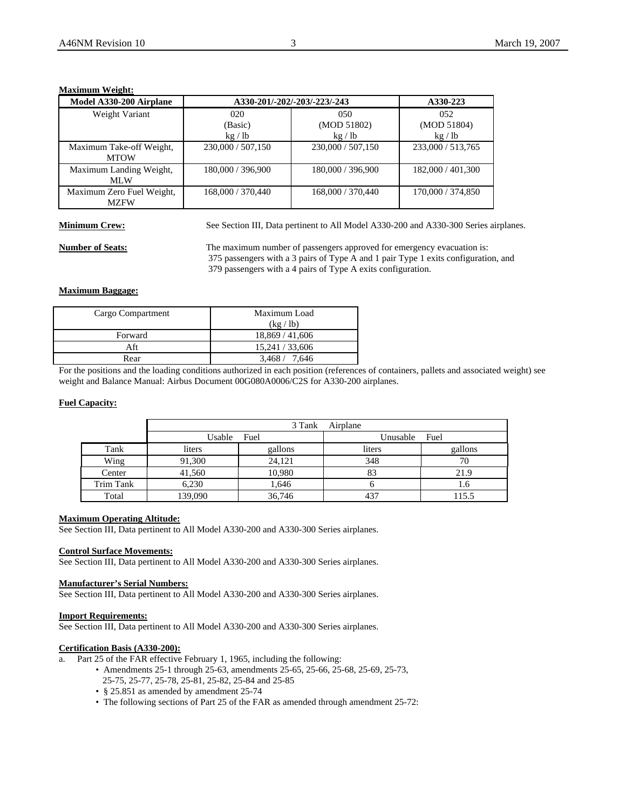# **Maximum Weight:**

| Model A330-200 Airplane   |                   | A330-201/-202/-203/-223/-243 | A330-223          |
|---------------------------|-------------------|------------------------------|-------------------|
| Weight Variant            | 020               | 050                          | 052               |
|                           | (Basic)           | (MOD 51802)                  | (MOD 51804)       |
|                           | kg / lb           | kg / lb                      | kg/lb             |
| Maximum Take-off Weight,  | 230,000 / 507,150 | 230,000 / 507,150            | 233,000 / 513,765 |
| <b>MTOW</b>               |                   |                              |                   |
| Maximum Landing Weight,   | 180,000 / 396,900 | 180,000 / 396,900            | 182,000 / 401,300 |
| MLW                       |                   |                              |                   |
| Maximum Zero Fuel Weight, | 168,000 / 370,440 | 168,000 / 370,440            | 170,000 / 374,850 |
| <b>MZFW</b>               |                   |                              |                   |

**Minimum Crew:** See Section III, Data pertinent to All Model A330-200 and A330-300 Series airplanes.

**Number of Seats:** The maximum number of passengers approved for emergency evacuation is: 375 passengers with a 3 pairs of Type A and 1 pair Type 1 exits configuration, and 379 passengers with a 4 pairs of Type A exits configuration.

# **Maximum Baggage:**

| Cargo Compartment | Maximum Load    |
|-------------------|-----------------|
|                   | (kg / lb)       |
| Forward           | 18,869 / 41,606 |
| Aft               | 15,241 / 33,606 |
| Rear              | 3.468 / 7.646   |

For the positions and the loading conditions authorized in each position (references of containers, pallets and associated weight) see weight and Balance Manual: Airbus Document 00G080A0006/C2S for A330-200 airplanes.

# **Fuel Capacity:**

|           |         | 3 Tank  | Airplane |         |
|-----------|---------|---------|----------|---------|
|           | Usable  | Fuel    | Unusable | Fuel    |
| Tank      | liters  | gallons | liters   | gallons |
| Wing      | 91,300  | 24.121  | 348      | 70      |
| Center    | 41.560  | 10,980  | 83       | 21.9    |
| Trim Tank | 6,230   | 1,646   |          | 1.6     |
| Total     | 139,090 | 36,746  | 437      | 115.5   |

# **Maximum Operating Altitude:**

See Section III, Data pertinent to All Model A330-200 and A330-300 Series airplanes.

#### **Control Surface Movements:**

See Section III, Data pertinent to All Model A330-200 and A330-300 Series airplanes.

# **Manufacturer's Serial Numbers:**

See Section III, Data pertinent to All Model A330-200 and A330-300 Series airplanes.

### **Import Requirements:**

See Section III, Data pertinent to All Model A330-200 and A330-300 Series airplanes.

### **Certification Basis (A330-200):**

a. Part 25 of the FAR effective February 1, 1965, including the following:

- Amendments 25-1 through 25-63, amendments 25-65, 25-66, 25-68, 25-69, 25-73, 25-75, 25-77, 25-78, 25-81, 25-82, 25-84 and 25-85
- § 25.851 as amended by amendment 25-74
- The following sections of Part 25 of the FAR as amended through amendment 25-72: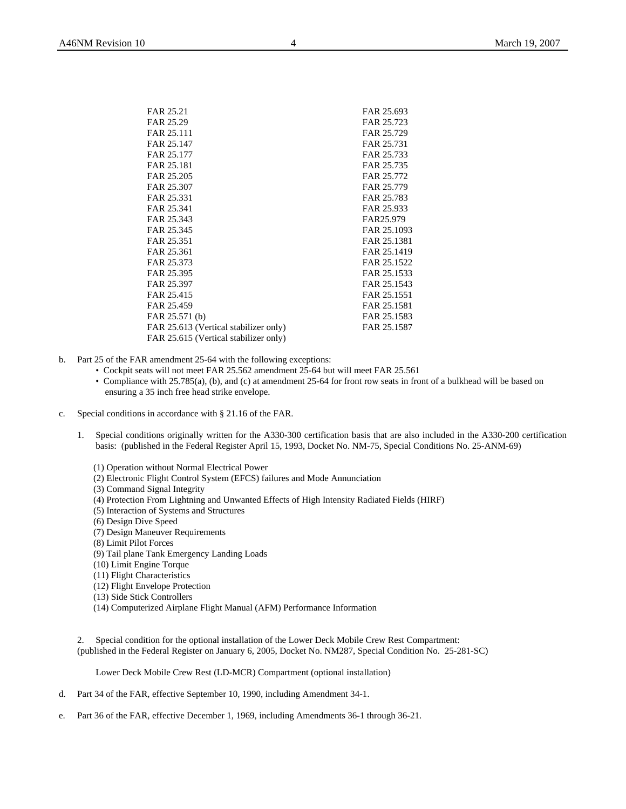| FAR 25.21                             | FAR 25.693  |
|---------------------------------------|-------------|
| FAR 25.29                             | FAR 25.723  |
| FAR 25.111                            | FAR 25.729  |
| FAR 25.147                            | FAR 25.731  |
| FAR 25.177                            | FAR 25.733  |
| FAR 25.181                            | FAR 25.735  |
| FAR 25.205                            | FAR 25.772  |
| FAR 25.307                            | FAR 25.779  |
| FAR 25.331                            | FAR 25.783  |
| FAR 25.341                            | FAR 25.933  |
| FAR 25.343                            | FAR25.979   |
| FAR 25.345                            | FAR 25.1093 |
| FAR 25.351                            | FAR 25.1381 |
| FAR 25.361                            | FAR 25.1419 |
| FAR 25.373                            | FAR 25.1522 |
| FAR 25.395                            | FAR 25.1533 |
| FAR 25.397                            | FAR 25.1543 |
| FAR 25.415                            | FAR 25.1551 |
| FAR 25.459                            | FAR 25.1581 |
| FAR 25.571 (b)                        | FAR 25.1583 |
| FAR 25.613 (Vertical stabilizer only) | FAR 25.1587 |
| FAR 25.615 (Vertical stabilizer only) |             |
|                                       |             |

- b. Part 25 of the FAR amendment 25-64 with the following exceptions:
	- Cockpit seats will not meet FAR 25.562 amendment 25-64 but will meet FAR 25.561
	- Compliance with 25.785(a), (b), and (c) at amendment 25-64 for front row seats in front of a bulkhead will be based on ensuring a 35 inch free head strike envelope.
- c. Special conditions in accordance with § 21.16 of the FAR.
	- 1. Special conditions originally written for the A330-300 certification basis that are also included in the A330-200 certification basis: (published in the Federal Register April 15, 1993, Docket No. NM-75, Special Conditions No. 25-ANM-69)
		- (1) Operation without Normal Electrical Power
		- (2) Electronic Flight Control System (EFCS) failures and Mode Annunciation
		- (3) Command Signal Integrity
		- (4) Protection From Lightning and Unwanted Effects of High Intensity Radiated Fields (HIRF)
		- (5) Interaction of Systems and Structures
		- (6) Design Dive Speed
		- (7) Design Maneuver Requirements
		- (8) Limit Pilot Forces
		- (9) Tail plane Tank Emergency Landing Loads
		- (10) Limit Engine Torque
		- (11) Flight Characteristics
		- (12) Flight Envelope Protection
		- (13) Side Stick Controllers
		- (14) Computerized Airplane Flight Manual (AFM) Performance Information

2. Special condition for the optional installation of the Lower Deck Mobile Crew Rest Compartment: (published in the Federal Register on January 6, 2005, Docket No. NM287, Special Condition No. 25-281-SC)

Lower Deck Mobile Crew Rest (LD-MCR) Compartment (optional installation)

- d. Part 34 of the FAR, effective September 10, 1990, including Amendment 34-1.
- e. Part 36 of the FAR, effective December 1, 1969, including Amendments 36-1 through 36-21.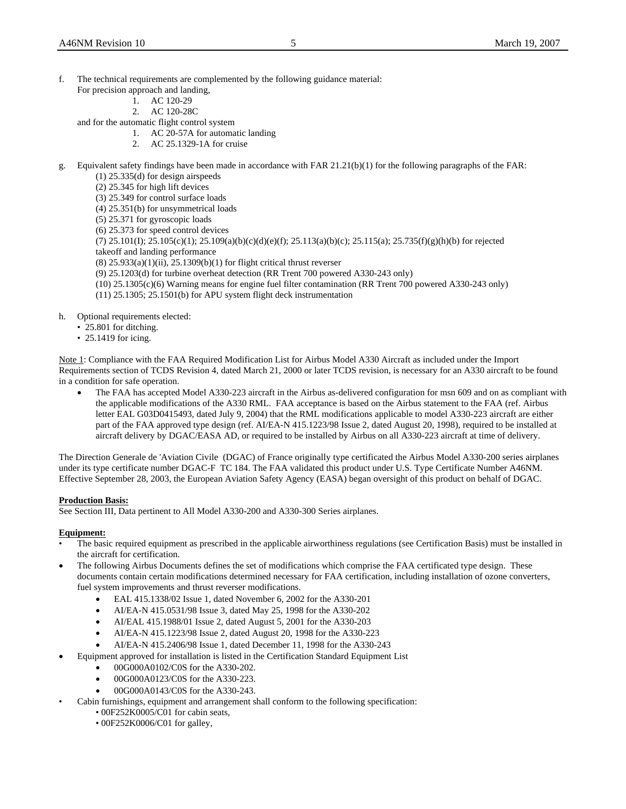- f. The technical requirements are complemented by the following guidance material:
	- For precision approach and landing,
		- 1. AC 120-29
		- 2. AC 120-28C

and for the automatic flight control system

- 1. AC 20-57A for automatic landing
- 2. AC 25.1329-1A for cruise
- g. Equivalent safety findings have been made in accordance with FAR 21.21(b)(1) for the following paragraphs of the FAR:
	- (1) 25.335(d) for design airspeeds
	- (2) 25.345 for high lift devices
	- (3) 25.349 for control surface loads
	- (4) 25.351(b) for unsymmetrical loads
	- (5) 25.371 for gyroscopic loads
	- (6) 25.373 for speed control devices
	- (7) 25.101(I); 25.105(c)(1); 25.109(a)(b)(c)(d)(e)(f); 25.113(a)(b)(c); 25.115(a); 25.735(f)(g)(h)(b) for rejected takeoff and landing performance
	- (8) 25.933(a)(1)(ii), 25.1309(b)(1) for flight critical thrust reverser
	- (9) 25.1203(d) for turbine overheat detection (RR Trent 700 powered A330-243 only)
	- (10) 25.1305(c)(6) Warning means for engine fuel filter contamination (RR Trent 700 powered A330-243 only)
	- (11) 25.1305; 25.1501(b) for APU system flight deck instrumentation

h. Optional requirements elected:

- 25.801 for ditching.
- 25.1419 for icing.

Note 1: Compliance with the FAA Required Modification List for Airbus Model A330 Aircraft as included under the Import Requirements section of TCDS Revision 4, dated March 21, 2000 or later TCDS revision, is necessary for an A330 aircraft to be found in a condition for safe operation.

• The FAA has accepted Model A330-223 aircraft in the Airbus as-delivered configuration for msn 609 and on as compliant with the applicable modifications of the A330 RML. FAA acceptance is based on the Airbus statement to the FAA (ref. Airbus letter EAL G03D0415493, dated July 9, 2004) that the RML modifications applicable to model A330-223 aircraft are either part of the FAA approved type design (ref. AI/EA-N 415.1223/98 Issue 2, dated August 20, 1998), required to be installed at aircraft delivery by DGAC/EASA AD, or required to be installed by Airbus on all A330-223 aircraft at time of delivery.

The Direction Generale de 'Aviation Civile (DGAC) of France originally type certificated the Airbus Model A330-200 series airplanes under its type certificate number DGAC-F TC 184. The FAA validated this product under U.S. Type Certificate Number A46NM. Effective September 28, 2003, the European Aviation Safety Agency (EASA) began oversight of this product on behalf of DGAC.

# **Production Basis:**

See Section III, Data pertinent to All Model A330-200 and A330-300 Series airplanes.

# **Equipment:**

- The basic required equipment as prescribed in the applicable airworthiness regulations (see Certification Basis) must be installed in the aircraft for certification.
- The following Airbus Documents defines the set of modifications which comprise the FAA certificated type design. These documents contain certain modifications determined necessary for FAA certification, including installation of ozone converters, fuel system improvements and thrust reverser modifications.
	- EAL 415.1338/02 Issue 1, dated November 6, 2002 for the A330-201
	- AI/EA-N 415.0531/98 Issue 3, dated May 25, 1998 for the A330-202
	- AI/EAL 415.1988/01 Issue 2, dated August 5, 2001 for the A330-203
	- AI/EA-N 415.1223/98 Issue 2, dated August 20, 1998 for the A330-223
	- AI/EA-N 415.2406/98 Issue 1, dated December 11, 1998 for the A330-243
	- Equipment approved for installation is listed in the Certification Standard Equipment List
		- 00G000A0102/C0S for the A330-202.
		- 00G000A0123/C0S for the A330-223.
		- 00G000A0143/C0S for the A330-243.
- Cabin furnishings, equipment and arrangement shall conform to the following specification:
	- 00F252K0005/C01 for cabin seats,
	- 00F252K0006/C01 for galley,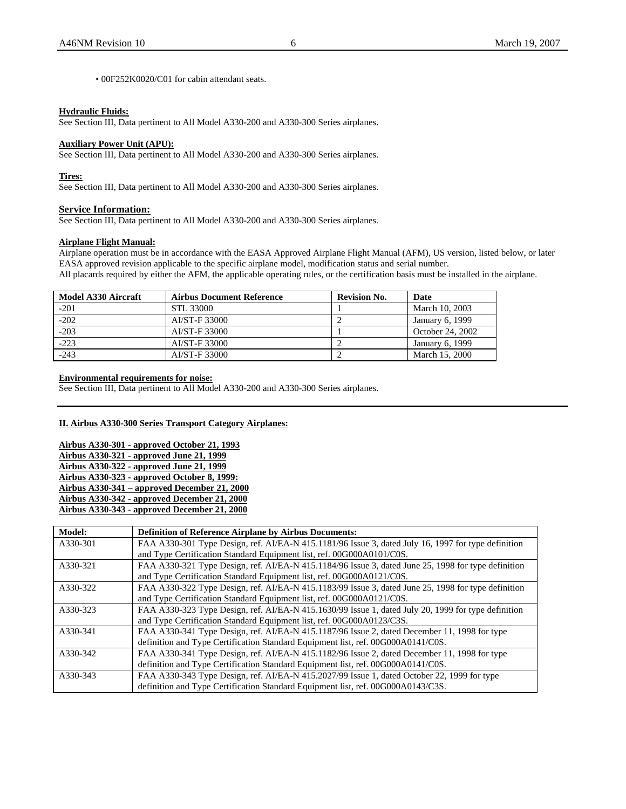• 00F252K0020/C01 for cabin attendant seats.

### **Hydraulic Fluids:**

See Section III, Data pertinent to All Model A330-200 and A330-300 Series airplanes.

#### **Auxiliary Power Unit (APU):**

See Section III, Data pertinent to All Model A330-200 and A330-300 Series airplanes.

#### **Tires:**

See Section III, Data pertinent to All Model A330-200 and A330-300 Series airplanes.

# **Service Information:**

See Section III, Data pertinent to All Model A330-200 and A330-300 Series airplanes.

# **Airplane Flight Manual:**

Airplane operation must be in accordance with the EASA Approved Airplane Flight Manual (AFM), US version, listed below, or later EASA approved revision applicable to the specific airplane model, modification status and serial number.

All placards required by either the AFM, the applicable operating rules, or the certification basis must be installed in the airplane.

| Model A330 Aircraft | <b>Airbus Document Reference</b> | <b>Revision No.</b> | <b>Date</b>      |
|---------------------|----------------------------------|---------------------|------------------|
| $-201$              | STL 33000                        |                     | March 10, 2003   |
| $-202$              | AI/ST-F 33000                    |                     | January 6, 1999  |
| $-203$              | AI/ST-F 33000                    |                     | October 24, 2002 |
| $-223$              | AI/ST-F 33000                    |                     | January 6, 1999  |
| $-243$              | AI/ST-F 33000                    |                     | March 15, 2000   |

# **Environmental requirements for noise:**

See Section III, Data pertinent to All Model A330-200 and A330-300 Series airplanes.

# **II. Airbus A330-300 Series Transport Category Airplanes:**

**Airbus A330-301 - approved October 21, 1993 Airbus A330-321 - approved June 21, 1999 Airbus A330-322 - approved June 21, 1999 Airbus A330-323 - approved October 8, 1999: Airbus A330-341 – approved December 21, 2000 Airbus A330-342 - approved December 21, 2000 Airbus A330-343 - approved December 21, 2000**

| Model:   | <b>Definition of Reference Airplane by Airbus Documents:</b>                                        |
|----------|-----------------------------------------------------------------------------------------------------|
| A330-301 | FAA A330-301 Type Design, ref. AI/EA-N 415.1181/96 Issue 3, dated July 16, 1997 for type definition |
|          | and Type Certification Standard Equipment list, ref. 00G000A0101/C0S.                               |
| A330-321 | FAA A330-321 Type Design, ref. AI/EA-N 415.1184/96 Issue 3, dated June 25, 1998 for type definition |
|          | and Type Certification Standard Equipment list, ref. 00G000A0121/C0S.                               |
| A330-322 | FAA A330-322 Type Design, ref. AI/EA-N 415.1183/99 Issue 3, dated June 25, 1998 for type definition |
|          | and Type Certification Standard Equipment list, ref. 00G000A0121/C0S.                               |
| A330-323 | FAA A330-323 Type Design, ref. AI/EA-N 415.1630/99 Issue 1, dated July 20, 1999 for type definition |
|          | and Type Certification Standard Equipment list, ref. 00G000A0123/C3S.                               |
| A330-341 | FAA A330-341 Type Design, ref. AI/EA-N 415.1187/96 Issue 2, dated December 11, 1998 for type        |
|          | definition and Type Certification Standard Equipment list, ref. 00G000A0141/C0S.                    |
| A330-342 | FAA A330-341 Type Design, ref. AI/EA-N 415.1182/96 Issue 2, dated December 11, 1998 for type        |
|          | definition and Type Certification Standard Equipment list, ref. 00G000A0141/C0S.                    |
| A330-343 | FAA A330-343 Type Design, ref. AI/EA-N 415.2027/99 Issue 1, dated October 22, 1999 for type         |
|          | definition and Type Certification Standard Equipment list, ref. 00G000A0143/C3S.                    |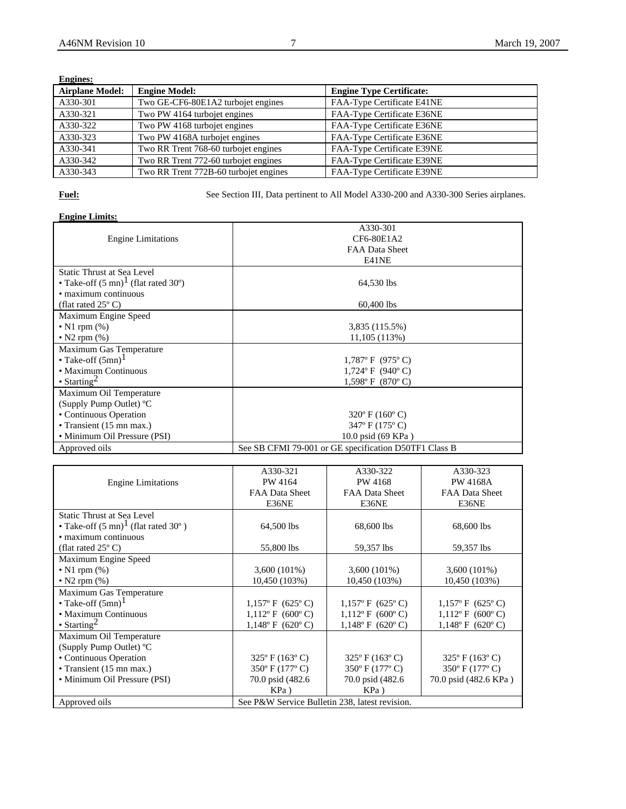| <b>Engines:</b>        |                                       |                                 |
|------------------------|---------------------------------------|---------------------------------|
| <b>Airplane Model:</b> | <b>Engine Model:</b>                  | <b>Engine Type Certificate:</b> |
| A330-301               | Two GE-CF6-80E1A2 turbojet engines    | FAA-Type Certificate E41NE      |
| A330-321               | Two PW 4164 turbojet engines          | FAA-Type Certificate E36NE      |
| A330-322               | Two PW 4168 turbojet engines          | FAA-Type Certificate E36NE      |
| A330-323               | Two PW 4168A turbojet engines         | FAA-Type Certificate E36NE      |
| A330-341               | Two RR Trent 768-60 turbojet engines  | FAA-Type Certificate E39NE      |
| A330-342               | Two RR Trent 772-60 turbojet engines  | FAA-Type Certificate E39NE      |
| A330-343               | Two RR Trent 772B-60 turbojet engines | FAA-Type Certificate E39NE      |

**Fuel:** See Section III, Data pertinent to All Model A330-200 and A330-300 Series airplanes.

# **Engine Limits:**

|                                                | A330-301                                              |
|------------------------------------------------|-------------------------------------------------------|
| <b>Engine Limitations</b>                      | CF6-80E1A2                                            |
|                                                | <b>FAA Data Sheet</b>                                 |
|                                                | E41NE                                                 |
| Static Thrust at Sea Level                     |                                                       |
| • Take-off $(5 \text{ mn})^1$ (flat rated 30°) | 64,530 lbs                                            |
| • maximum continuous                           |                                                       |
| (flat rated $25^{\circ}$ C)                    | 60,400 lbs                                            |
| Maximum Engine Speed                           |                                                       |
| • N1 rpm $(\%)$                                | 3,835 (115.5%)                                        |
| • N2 rpm $(\%)$                                | 11,105 (113%)                                         |
| Maximum Gas Temperature                        |                                                       |
| • Take-off $(5mn)^1$                           | $1,787$ °F (975°C)                                    |
| • Maximum Continuous                           | $1,724$ °F (940°C)                                    |
| $\cdot$ Starting <sup>2</sup>                  | $1,598$ °F (870°C)                                    |
| Maximum Oil Temperature                        |                                                       |
| (Supply Pump Outlet) $^{\circ}C$               |                                                       |
| • Continuous Operation                         | $320^{\circ}$ F (160 $^{\circ}$ C)                    |
| • Transient (15 mn max.)                       | 347° F (175° C)                                       |
| • Minimum Oil Pressure (PSI)                   | 10.0 psid (69 KPa)                                    |
| Approved oils                                  | See SB CFMI 79-001 or GE specification D50TF1 Class B |

|                                                | A330-321                                       | A330-322                           | A330-323                           |
|------------------------------------------------|------------------------------------------------|------------------------------------|------------------------------------|
| <b>Engine Limitations</b>                      | PW 4164                                        | PW 4168                            | <b>PW 4168A</b>                    |
|                                                | FAA Data Sheet                                 | FAA Data Sheet                     | FAA Data Sheet                     |
|                                                | E36NE                                          | E36NE                              | E36NE                              |
| Static Thrust at Sea Level                     |                                                |                                    |                                    |
| • Take-off $(5 \text{ mn})^1$ (flat rated 30°) | 64,500 lbs                                     | 68,600 lbs                         | 68,600 lbs                         |
| • maximum continuous                           |                                                |                                    |                                    |
| (flat rated $25^{\circ}$ C)                    | 55,800 lbs                                     | 59,357 lbs                         | 59,357 lbs                         |
| Maximum Engine Speed                           |                                                |                                    |                                    |
| $\bullet$ N1 rpm $(\%)$                        | $3,600(101\%)$                                 | $3,600(101\%)$                     | $3,600(101\%)$                     |
| • N2 rpm $(\%)$                                | 10,450 (103%)                                  | 10,450 (103%)                      | 10,450 (103%)                      |
| Maximum Gas Temperature                        |                                                |                                    |                                    |
| • Take-off $(5mn)^1$                           | $1,157^{\circ}$ F (625°C)                      | $1,157$ °F (625°C)                 | $1,157$ °F (625°C)                 |
| • Maximum Continuous                           | $1,112^{\circ}$ F (600°C)                      | $1,112$ °F (600°C)                 | $1,112$ °F (600°C)                 |
| • Starting <sup>2</sup>                        | $1,148$ ° F (620° C)                           | $1,148^{\circ}$ F (620°C)          | $1,148^{\circ}$ F (620°C)          |
| Maximum Oil Temperature                        |                                                |                                    |                                    |
| (Supply Pump Outlet) °C                        |                                                |                                    |                                    |
| • Continuous Operation                         | $325^{\circ}$ F (163 $^{\circ}$ C)             | $325^{\circ}$ F (163 $^{\circ}$ C) | $325^{\circ}$ F (163 $^{\circ}$ C) |
| • Transient $(15 \text{ mn max.})$             | $350^{\circ}$ F (177 $^{\circ}$ C)             | $350^{\circ}$ F (177 $^{\circ}$ C) | 350° F (177° C)                    |
| • Minimum Oil Pressure (PSI)                   | 70.0 psid (482.6)                              | 70.0 psid (482.6)                  | 70.0 psid (482.6 KPa)              |
|                                                | $KPa$ )                                        | $KPa$ )                            |                                    |
| Approved oils                                  | See P&W Service Bulletin 238, latest revision. |                                    |                                    |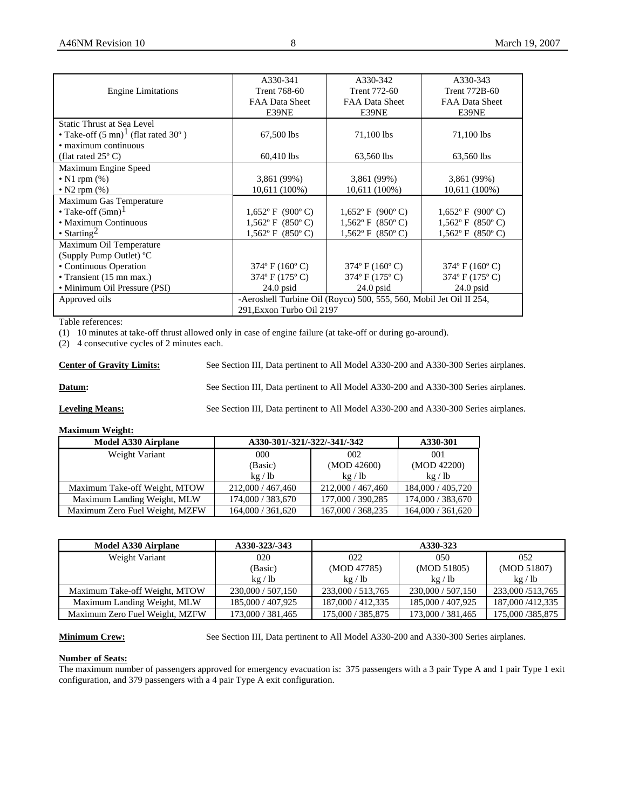|                                                | A330-341                                                            | A330-342                           | A330-343                           |
|------------------------------------------------|---------------------------------------------------------------------|------------------------------------|------------------------------------|
| <b>Engine Limitations</b>                      | <b>Trent 768-60</b>                                                 | Trent 772-60                       | Trent 772B-60                      |
|                                                | FAA Data Sheet                                                      | <b>FAA Data Sheet</b>              | FAA Data Sheet                     |
|                                                | E39NE                                                               | E39NE                              | E39NE                              |
| Static Thrust at Sea Level                     |                                                                     |                                    |                                    |
| • Take-off $(5 \text{ mn})^1$ (flat rated 30°) | 67,500 lbs                                                          | 71,100 lbs                         | 71,100 lbs                         |
| • maximum continuous                           |                                                                     |                                    |                                    |
| (flat rated $25^{\circ}$ C)                    | 60,410 lbs                                                          | 63,560 lbs                         | 63,560 lbs                         |
| Maximum Engine Speed                           |                                                                     |                                    |                                    |
| • N1 rpm $(\%)$                                | 3,861 (99%)                                                         | 3,861 (99%)                        | 3,861 (99%)                        |
| $\bullet$ N2 rpm $(\%)$                        | 10,611 (100%)                                                       | 10,611 (100%)                      | 10,611 (100%)                      |
| Maximum Gas Temperature                        |                                                                     |                                    |                                    |
| • Take-off $(5mn)^1$                           | $1,652$ °F (900°C)                                                  | $1,652$ °F (900°C)                 | $1,652$ °F (900°C)                 |
| • Maximum Continuous                           | $1,562$ °F (850°C)                                                  | $1,562$ °F (850°C)                 | $1,562$ °F (850°C)                 |
| • Starting <sup>2</sup>                        | $1,562$ °F (850°C)                                                  | $1,562$ °F (850°C)                 | $1,562$ °F (850°C)                 |
| Maximum Oil Temperature                        |                                                                     |                                    |                                    |
| (Supply Pump Outlet) °C                        |                                                                     |                                    |                                    |
| • Continuous Operation                         | $374^{\circ}$ F (160 $^{\circ}$ C)                                  | $374^{\circ}$ F (160 $^{\circ}$ C) | $374^{\circ}$ F (160 $^{\circ}$ C) |
| • Transient $(15 \text{ mn max.})$             | $374^{\circ}$ F (175 $^{\circ}$ C)                                  | 374° F (175° C)                    | 374° F (175° C)                    |
| • Minimum Oil Pressure (PSI)                   | $24.0$ psid                                                         | $24.0$ psid                        | $24.0$ psid                        |
| Approved oils                                  | -Aeroshell Turbine Oil (Royco) 500, 555, 560, Mobil Jet Oil II 254, |                                    |                                    |
|                                                | 291, Exxon Turbo Oil 2197                                           |                                    |                                    |

Table references:

(1) 10 minutes at take-off thrust allowed only in case of engine failure (at take-off or during go-around).

(2) 4 consecutive cycles of 2 minutes each.

**Center of Gravity Limits:** See Section III, Data pertinent to All Model A330-200 and A330-300 Series airplanes. **Datum:** See Section III, Data pertinent to All Model A330-200 and A330-300 Series airplanes.

**Leveling Means:** See Section III, Data pertinent to All Model A330-200 and A330-300 Series airplanes.

#### **Maximum Weight:**

| <b>Model A330 Airplane</b>     | A330-301/-321/-322/-341/-342 |                   | A330-301          |
|--------------------------------|------------------------------|-------------------|-------------------|
| Weight Variant                 | 000                          | 002               | 001               |
|                                | (Basic)                      | (MOD 42600)       | (MOD 42200)       |
|                                | kg / lb                      | kg / lb           | kg / lb           |
| Maximum Take-off Weight, MTOW  | 212,000 / 467,460            | 212,000 / 467,460 | 184,000 / 405,720 |
| Maximum Landing Weight, MLW    | 174,000 / 383,670            | 177,000 / 390,285 | 174,000 / 383,670 |
| Maximum Zero Fuel Weight, MZFW | 164,000 / 361,620            | 167,000 / 368,235 | 164,000 / 361,620 |

| <b>Model A330 Airplane</b>     | A330-323/-343     |                   | A330-323          |                    |
|--------------------------------|-------------------|-------------------|-------------------|--------------------|
| Weight Variant                 | 020               | 022               | 050               | 052                |
|                                | (Basic)           | (MOD 47785)       | (MOD 51805)       | (MOD 51807)        |
|                                | kg / lb           | kg / lb           | kg / lb           | kg / lb            |
| Maximum Take-off Weight, MTOW  | 230,000 / 507,150 | 233,000 / 513,765 | 230,000 / 507,150 | 233,000/513,765    |
| Maximum Landing Weight, MLW    | 185,000 / 407,925 | 187,000 / 412,335 | 185,000 / 407,925 | 187,000 / 412, 335 |
| Maximum Zero Fuel Weight, MZFW | 173,000 / 381,465 | 175,000 / 385,875 | 173,000 / 381,465 | 175,000/385,875    |

**Minimum Crew:** See Section III, Data pertinent to All Model A330-200 and A330-300 Series airplanes.

# **Number of Seats:**

The maximum number of passengers approved for emergency evacuation is: 375 passengers with a 3 pair Type A and 1 pair Type 1 exit configuration, and 379 passengers with a 4 pair Type A exit configuration.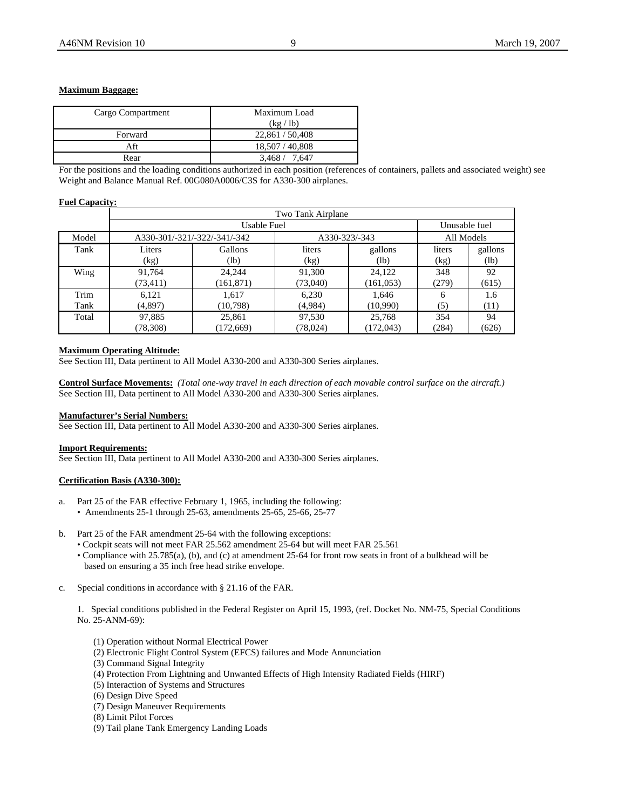# **Maximum Baggage:**

| Cargo Compartment | Maximum Load    |
|-------------------|-----------------|
|                   | (kg / lb)       |
| Forward           | 22,861 / 50,408 |
| Aft               | 18,507 / 40,808 |
| Rear              | 3.468 / 7.647   |
|                   |                 |

For the positions and the loading conditions authorized in each position (references of containers, pallets and associated weight) see Weight and Balance Manual Ref. 00G080A0006/C3S for A330-300 airplanes.

# **Fuel Capacity:**

|       | Two Tank Airplane |                              |           |               |               |            |  |
|-------|-------------------|------------------------------|-----------|---------------|---------------|------------|--|
|       |                   | Usable Fuel                  |           |               | Unusable fuel |            |  |
| Model |                   | A330-301/-321/-322/-341/-342 |           | A330-323/-343 |               | All Models |  |
| Tank  | Liters            | Gallons                      | liters    | gallons       | liters        | gallons    |  |
|       | (kg)              | (lb)                         | (kg)      | (lb)          | (kg)          | (lb)       |  |
| Wing  | 91,764            | 24.244                       | 91,300    | 24,122        | 348           | 92         |  |
|       | (73, 411)         | (161, 871)                   | (73,040)  | (161, 053)    | (279)         | (615)      |  |
| Trim  | 6,121             | 1,617                        | 6,230     | 1,646         | 6             | 1.6        |  |
| Tank  | (4,897)           | (10, 798)                    | (4,984)   | (10,990)      | (5)           | (11)       |  |
| Total | 97,885            | 25,861                       | 97,530    | 25,768        | 354           | 94         |  |
|       | (78, 308)         | (172, 669)                   | (78, 024) | (172, 043)    | (284)         | (626)      |  |

# **Maximum Operating Altitude:**

See Section III, Data pertinent to All Model A330-200 and A330-300 Series airplanes.

**Control Surface Movements:** *(Total one-way travel in each direction of each movable control surface on the aircraft.)*  See Section III, Data pertinent to All Model A330-200 and A330-300 Series airplanes.

# **Manufacturer's Serial Numbers:**

See Section III, Data pertinent to All Model A330-200 and A330-300 Series airplanes.

### **Import Requirements:**

See Section III, Data pertinent to All Model A330-200 and A330-300 Series airplanes.

# **Certification Basis (A330-300):**

- a. Part 25 of the FAR effective February 1, 1965, including the following:
	- Amendments 25-1 through 25-63, amendments 25-65, 25-66, 25-77
- b. Part 25 of the FAR amendment 25-64 with the following exceptions:
	- Cockpit seats will not meet FAR 25.562 amendment 25-64 but will meet FAR 25.561
	- Compliance with 25.785(a), (b), and (c) at amendment 25-64 for front row seats in front of a bulkhead will be based on ensuring a 35 inch free head strike envelope.
- c. Special conditions in accordance with § 21.16 of the FAR.

1. Special conditions published in the Federal Register on April 15, 1993, (ref. Docket No. NM-75, Special Conditions No. 25-ANM-69):

- (1) Operation without Normal Electrical Power
- (2) Electronic Flight Control System (EFCS) failures and Mode Annunciation
- (3) Command Signal Integrity
- (4) Protection From Lightning and Unwanted Effects of High Intensity Radiated Fields (HIRF)
- (5) Interaction of Systems and Structures
- (6) Design Dive Speed
- (7) Design Maneuver Requirements
- (8) Limit Pilot Forces
- (9) Tail plane Tank Emergency Landing Loads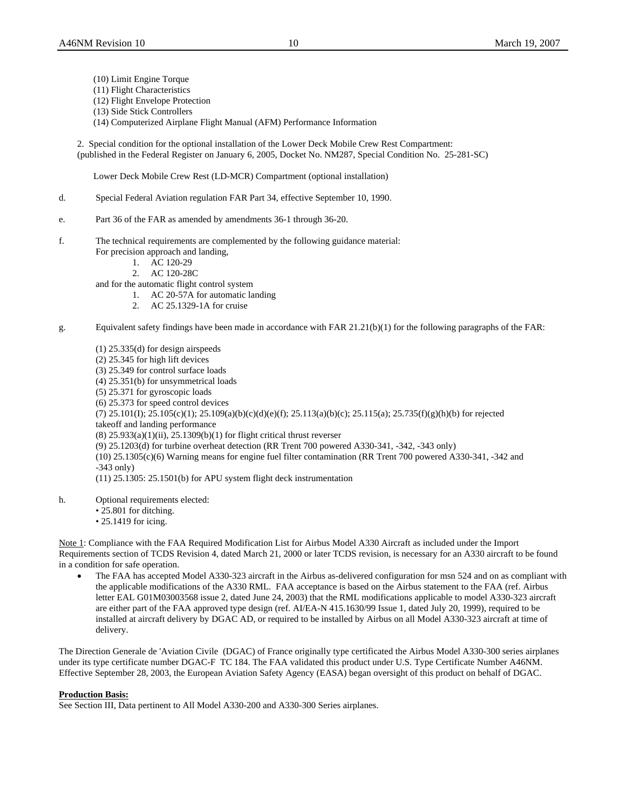- (10) Limit Engine Torque
- (11) Flight Characteristics
- (12) Flight Envelope Protection
- (13) Side Stick Controllers
- (14) Computerized Airplane Flight Manual (AFM) Performance Information
- 2. Special condition for the optional installation of the Lower Deck Mobile Crew Rest Compartment: (published in the Federal Register on January 6, 2005, Docket No. NM287, Special Condition No. 25-281-SC)

Lower Deck Mobile Crew Rest (LD-MCR) Compartment (optional installation)

- d. Special Federal Aviation regulation FAR Part 34, effective September 10, 1990.
- e. Part 36 of the FAR as amended by amendments 36-1 through 36-20.
- f. The technical requirements are complemented by the following guidance material: For precision approach and landing,
	- 1. AC 120-29
	- 2. AC 120-28C
	- and for the automatic flight control system
		- 1. AC 20-57A for automatic landing
		- 2. AC 25.1329-1A for cruise
- g. Equivalent safety findings have been made in accordance with FAR 21.21(b)(1) for the following paragraphs of the FAR:
	- (1) 25.335(d) for design airspeeds (2) 25.345 for high lift devices (3) 25.349 for control surface loads (4) 25.351(b) for unsymmetrical loads (5) 25.371 for gyroscopic loads (6) 25.373 for speed control devices  $(7)$  25.101(I); 25.105(c)(1); 25.109(a)(b)(c)(d)(e)(f); 25.113(a)(b)(c); 25.115(a); 25.735(f)(g)(h)(b) for rejected takeoff and landing performance  $(8)$  25.933 $(a)(1)(ii)$ , 25.1309 $(b)(1)$  for flight critical thrust reverser (9) 25.1203(d) for turbine overheat detection (RR Trent 700 powered A330-341, -342, -343 only) (10) 25.1305(c)(6) Warning means for engine fuel filter contamination (RR Trent 700 powered A330-341, -342 and -343 only) (11) 25.1305: 25.1501(b) for APU system flight deck instrumentation
- h. Optional requirements elected:
	- 25.801 for ditching.
	- 25.1419 for icing.

Note 1: Compliance with the FAA Required Modification List for Airbus Model A330 Aircraft as included under the Import Requirements section of TCDS Revision 4, dated March 21, 2000 or later TCDS revision, is necessary for an A330 aircraft to be found in a condition for safe operation.

• The FAA has accepted Model A330-323 aircraft in the Airbus as-delivered configuration for msn 524 and on as compliant with the applicable modifications of the A330 RML. FAA acceptance is based on the Airbus statement to the FAA (ref. Airbus letter EAL G01M03003568 issue 2, dated June 24, 2003) that the RML modifications applicable to model A330-323 aircraft are either part of the FAA approved type design (ref. AI/EA-N 415.1630/99 Issue 1, dated July 20, 1999), required to be installed at aircraft delivery by DGAC AD, or required to be installed by Airbus on all Model A330-323 aircraft at time of delivery.

The Direction Generale de 'Aviation Civile (DGAC) of France originally type certificated the Airbus Model A330-300 series airplanes under its type certificate number DGAC-F TC 184. The FAA validated this product under U.S. Type Certificate Number A46NM. Effective September 28, 2003, the European Aviation Safety Agency (EASA) began oversight of this product on behalf of DGAC.

#### **Production Basis:**

See Section III, Data pertinent to All Model A330-200 and A330-300 Series airplanes.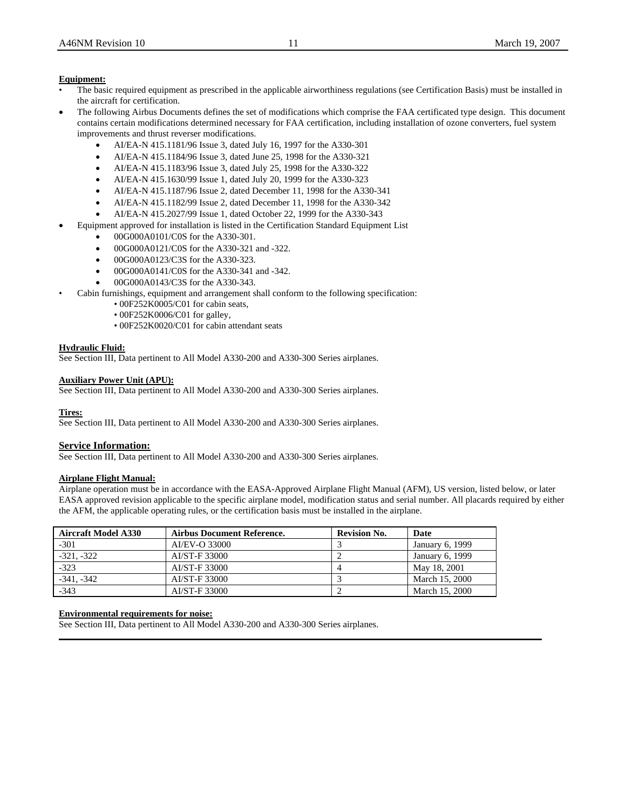# **Equipment:**

- The basic required equipment as prescribed in the applicable airworthiness regulations (see Certification Basis) must be installed in the aircraft for certification.
- The following Airbus Documents defines the set of modifications which comprise the FAA certificated type design. This document contains certain modifications determined necessary for FAA certification, including installation of ozone converters, fuel system improvements and thrust reverser modifications.
	- AI/EA-N 415.1181/96 Issue 3, dated July 16, 1997 for the A330-301
	- AI/EA-N 415.1184/96 Issue 3, dated June 25, 1998 for the A330-321
	- AI/EA-N 415.1183/96 Issue 3, dated July 25, 1998 for the A330-322
	- AI/EA-N 415.1630/99 Issue 1, dated July 20, 1999 for the A330-323
	- AI/EA-N 415.1187/96 Issue 2, dated December 11, 1998 for the A330-341
	- AI/EA-N 415.1182/99 Issue 2, dated December 11, 1998 for the A330-342
	- AI/EA-N 415.2027/99 Issue 1, dated October 22, 1999 for the A330-343
- Equipment approved for installation is listed in the Certification Standard Equipment List
	- 00G000A0101/C0S for the A330-301.
	- 00G000A0121/C0S for the A330-321 and -322.
	- 00G000A0123/C3S for the A330-323.
	- 00G000A0141/C0S for the A330-341 and -342.
	- 00G000A0143/C3S for the A330-343.
- Cabin furnishings, equipment and arrangement shall conform to the following specification:
	- 00F252K0005/C01 for cabin seats,
	- 00F252K0006/C01 for galley,
	- 00F252K0020/C01 for cabin attendant seats

# **Hydraulic Fluid:**

See Section III, Data pertinent to All Model A330-200 and A330-300 Series airplanes.

# **Auxiliary Power Unit (APU):**

See Section III, Data pertinent to All Model A330-200 and A330-300 Series airplanes.

#### **Tires:**

See Section III, Data pertinent to All Model A330-200 and A330-300 Series airplanes.

# **Service Information:**

See Section III, Data pertinent to All Model A330-200 and A330-300 Series airplanes.

# **Airplane Flight Manual:**

Airplane operation must be in accordance with the EASA-Approved Airplane Flight Manual (AFM), US version, listed below, or later EASA approved revision applicable to the specific airplane model, modification status and serial number. All placards required by either the AFM, the applicable operating rules, or the certification basis must be installed in the airplane.

**\_\_\_\_\_\_\_\_\_\_\_\_\_\_\_\_\_\_\_\_\_\_\_\_\_\_\_\_\_\_\_\_\_\_\_\_\_\_\_\_\_\_\_\_\_\_\_\_\_\_\_\_\_\_\_\_\_\_\_\_\_\_\_\_\_\_\_\_\_\_\_\_\_\_\_\_\_\_\_\_\_\_\_\_\_\_\_\_\_\_\_\_\_\_\_\_\_\_\_\_\_\_\_\_\_**

| <b>Aircraft Model A330</b> | <b>Airbus Document Reference.</b> | <b>Revision No.</b> | Date            |
|----------------------------|-----------------------------------|---------------------|-----------------|
| $-301$                     | AI/EV-O 33000                     |                     | January 6, 1999 |
| $-321. -322$               | AI/ST-F 33000                     |                     | January 6, 1999 |
| $-323$                     | AI/ST-F 33000                     |                     | May 18, 2001    |
| -341. -342                 | AI/ST-F 33000                     |                     | March 15, 2000  |
| $-343$                     | AI/ST-F 33000                     |                     | March 15, 2000  |

# **Environmental requirements for noise:**

See Section III, Data pertinent to All Model A330-200 and A330-300 Series airplanes.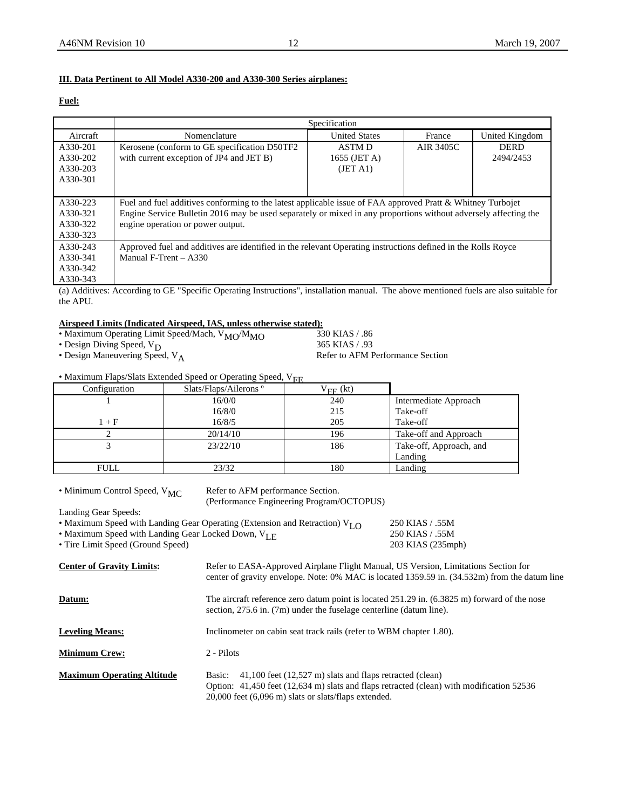# **III. Data Pertinent to All Model A330-200 and A330-300 Series airplanes:**

# **Fuel:**

|          |                                                                                                                 | Specification        |           |                |
|----------|-----------------------------------------------------------------------------------------------------------------|----------------------|-----------|----------------|
| Aircraft | Nomenclature                                                                                                    | <b>United States</b> | France    | United Kingdom |
| A330-201 | Kerosene (conform to GE specification D50TF2)                                                                   | ASTM D               | AIR 3405C | <b>DERD</b>    |
| A330-202 | with current exception of JP4 and JET B)                                                                        | 1655 (JET A)         |           | 2494/2453      |
| A330-203 |                                                                                                                 | (JET A1)             |           |                |
| A330-301 |                                                                                                                 |                      |           |                |
|          |                                                                                                                 |                      |           |                |
| A330-223 | Fuel and fuel additives conforming to the latest applicable issue of FAA approved Pratt & Whitney Turbojet      |                      |           |                |
| A330-321 | Engine Service Bulletin 2016 may be used separately or mixed in any proportions without adversely affecting the |                      |           |                |
| A330-322 | engine operation or power output.                                                                               |                      |           |                |
| A330-323 |                                                                                                                 |                      |           |                |
| A330-243 | Approved fuel and additives are identified in the relevant Operating instructions defined in the Rolls Royce    |                      |           |                |
| A330-341 | Manual F-Trent $-$ A330                                                                                         |                      |           |                |
| A330-342 |                                                                                                                 |                      |           |                |
| A330-343 |                                                                                                                 |                      |           |                |

(a) Additives: According to GE "Specific Operating Instructions", installation manual. The above mentioned fuels are also suitable for the APU.

# **Airspeed Limits (Indicated Airspeed, IAS, unless otherwise stated):**

| • Maximum Operating Limit Speed/Mach, V <sub>MO</sub> /M <sub>MO</sub> |
|------------------------------------------------------------------------|
|------------------------------------------------------------------------|

- Design Maneuvering Speed,  $V_A$
- Maximum Flaps/Slats Extended Speed or Operating Speed,  $V_{EF}$

| Configuration | Slats/Flaps/Ailerons <sup>°</sup> | $V_{\text{FE}}$ (kt) |                         |
|---------------|-----------------------------------|----------------------|-------------------------|
|               | 16/0/0                            | 240                  | Intermediate Approach   |
|               | 16/8/0                            | 215                  | Take-off                |
| $1 + F$       | 16/8/5                            | 205                  | Take-off                |
|               | 20/14/10                          | 196                  | Take-off and Approach   |
|               | 23/22/10                          | 186                  | Take-off, Approach, and |
|               |                                   |                      | Landing                 |
| <b>FULL</b>   | 23/32                             | 180                  | Landing                 |

• Minimum Control Speed,  $V_{MC}$  Refer to AFM performance Section. (Performance Engineering Program/OCTOPUS)

Landing Gear Speeds:

| • Maximum Speed with Landing Gear Operating (Extension and Retraction) $V_{LO}$ | 250 KIAS / .55M |
|---------------------------------------------------------------------------------|-----------------|
|                                                                                 |                 |

• Maximum Speed with Landing Gear Locked Down, V<sub>LE</sub> 250 KIAS / .55M

• Tire Limit Speed (Ground Speed) 203 KIAS (235mph)

**Center of Gravity Limits:** Refer to EASA-Approved Airplane Flight Manual, US Version, Limitations Section for center of gravity envelope. Note: 0% MAC is located 1359.59 in. (34.532m) from the datum line **Datum:** The aircraft reference zero datum point is located 251.29 in. (6.3825 m) forward of the nose

section, 275.6 in. (7m) under the fuselage centerline (datum line).

**Leveling Means:** Inclinometer on cabin seat track rails (refer to WBM chapter 1.80).

**Minimum Crew:** 2 - Pilots

| <b>Maximum Operating Altitude</b> | Basic: 41,100 feet (12,527 m) slats and flaps retracted (clean)                          |
|-----------------------------------|------------------------------------------------------------------------------------------|
|                                   | Option: 41,450 feet (12,634 m) slats and flaps retracted (clean) with modification 52536 |
|                                   | $20,000$ feet $(6,096 \text{ m})$ slats or slats/flaps extended.                         |

330 KIAS / .86<br>365 KIAS / .93 • Design Diving Speed,  $V_D$ <br>
• Design Maneuvering Speed,  $V_A$  365 KIAS / .93<br>
Refer to AFM Performance Section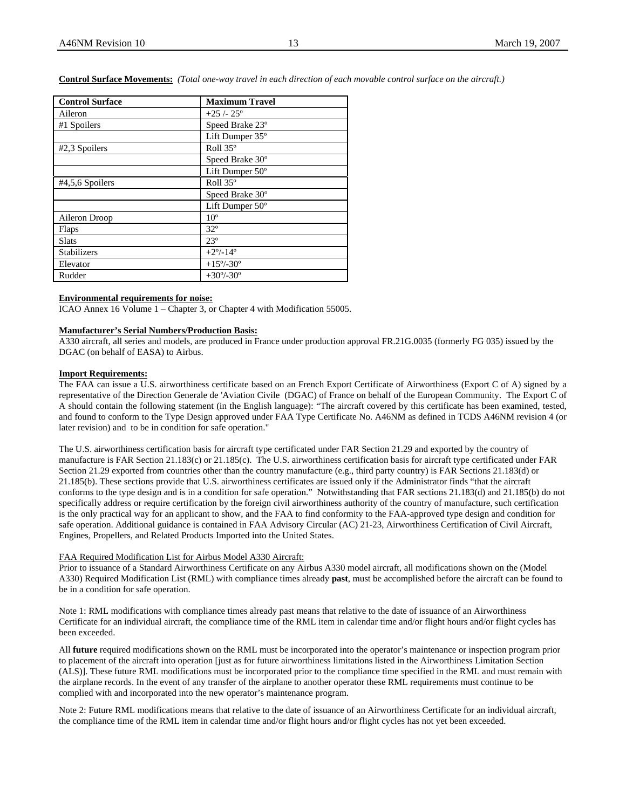**Control Surface Movements:** *(Total one-way travel in each direction of each movable control surface on the aircraft.)* 

| <b>Control Surface</b> | <b>Maximum Travel</b>     |
|------------------------|---------------------------|
| Aileron                | $+25/25$ °                |
| #1 Spoilers            | Speed Brake 23°           |
|                        | Lift Dumper 35°           |
| #2,3 Spoilers          | Roll 35°                  |
|                        | Speed Brake 30°           |
|                        | Lift Dumper 50°           |
| $#4,5,6$ Spoilers      | Roll 35°                  |
|                        | Speed Brake 30°           |
|                        | Lift Dumper 50°           |
| Aileron Droop          | 10 <sup>o</sup>           |
| Flaps                  | $32^{\circ}$              |
| <b>Slats</b>           | $23^\circ$                |
| Stabilizers            | $+2^{\circ}/-14^{\circ}$  |
| Elevator               | $+15^{\circ}/-30^{\circ}$ |
| Rudder                 | $+30^{\circ}/-30^{\circ}$ |

#### **Environmental requirements for noise:**

ICAO Annex 16 Volume 1 – Chapter 3, or Chapter 4 with Modification 55005.

# **Manufacturer's Serial Numbers/Production Basis:**

A330 aircraft, all series and models, are produced in France under production approval FR.21G.0035 (formerly FG 035) issued by the DGAC (on behalf of EASA) to Airbus.

#### **Import Requirements:**

The FAA can issue a U.S. airworthiness certificate based on an French Export Certificate of Airworthiness (Export C of A) signed by a representative of the Direction Generale de 'Aviation Civile (DGAC) of France on behalf of the European Community. The Export C of A should contain the following statement (in the English language): "The aircraft covered by this certificate has been examined, tested, and found to conform to the Type Design approved under FAA Type Certificate No. A46NM as defined in TCDS A46NM revision 4 (or later revision) and to be in condition for safe operation."

The U.S. airworthiness certification basis for aircraft type certificated under FAR Section 21.29 and exported by the country of manufacture is FAR Section 21.183(c) or 21.185(c). The U.S. airworthiness certification basis for aircraft type certificated under FAR Section 21.29 exported from countries other than the country manufacture (e.g., third party country) is FAR Sections 21.183(d) or 21.185(b). These sections provide that U.S. airworthiness certificates are issued only if the Administrator finds "that the aircraft conforms to the type design and is in a condition for safe operation." Notwithstanding that FAR sections 21.183(d) and 21.185(b) do not specifically address or require certification by the foreign civil airworthiness authority of the country of manufacture, such certification is the only practical way for an applicant to show, and the FAA to find conformity to the FAA-approved type design and condition for safe operation. Additional guidance is contained in FAA Advisory Circular (AC) 21-23, Airworthiness Certification of Civil Aircraft, Engines, Propellers, and Related Products Imported into the United States.

#### FAA Required Modification List for Airbus Model A330 Aircraft:

Prior to issuance of a Standard Airworthiness Certificate on any Airbus A330 model aircraft, all modifications shown on the (Model A330) Required Modification List (RML) with compliance times already **past**, must be accomplished before the aircraft can be found to be in a condition for safe operation.

Note 1: RML modifications with compliance times already past means that relative to the date of issuance of an Airworthiness Certificate for an individual aircraft, the compliance time of the RML item in calendar time and/or flight hours and/or flight cycles has been exceeded.

All **future** required modifications shown on the RML must be incorporated into the operator's maintenance or inspection program prior to placement of the aircraft into operation [just as for future airworthiness limitations listed in the Airworthiness Limitation Section (ALS)]. These future RML modifications must be incorporated prior to the compliance time specified in the RML and must remain with the airplane records. In the event of any transfer of the airplane to another operator these RML requirements must continue to be complied with and incorporated into the new operator's maintenance program.

Note 2: Future RML modifications means that relative to the date of issuance of an Airworthiness Certificate for an individual aircraft, the compliance time of the RML item in calendar time and/or flight hours and/or flight cycles has not yet been exceeded.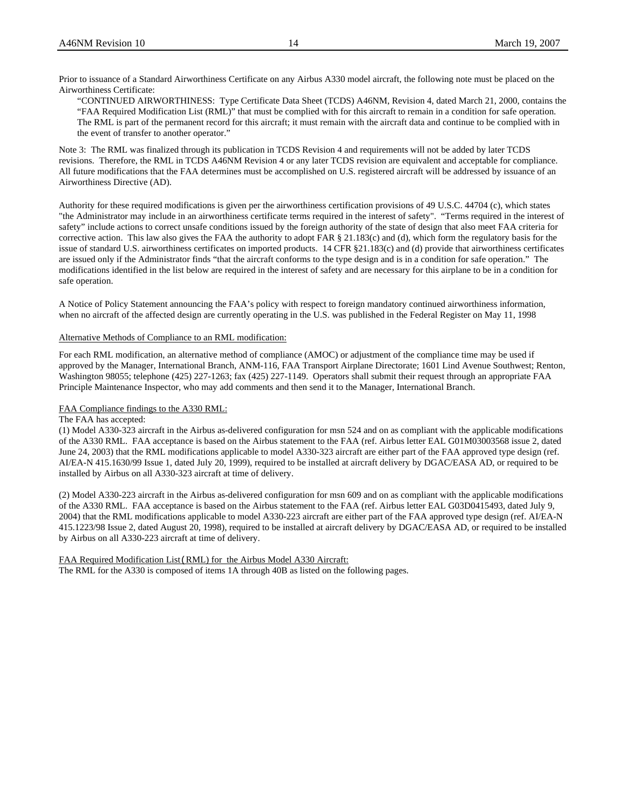Prior to issuance of a Standard Airworthiness Certificate on any Airbus A330 model aircraft, the following note must be placed on the Airworthiness Certificate:

"CONTINUED AIRWORTHINESS: Type Certificate Data Sheet (TCDS) A46NM, Revision 4, dated March 21, 2000, contains the "FAA Required Modification List (RML)" that must be complied with for this aircraft to remain in a condition for safe operation. The RML is part of the permanent record for this aircraft; it must remain with the aircraft data and continue to be complied with in the event of transfer to another operator."

Note 3: The RML was finalized through its publication in TCDS Revision 4 and requirements will not be added by later TCDS revisions. Therefore, the RML in TCDS A46NM Revision 4 or any later TCDS revision are equivalent and acceptable for compliance. All future modifications that the FAA determines must be accomplished on U.S. registered aircraft will be addressed by issuance of an Airworthiness Directive (AD).

Authority for these required modifications is given per the airworthiness certification provisions of 49 U.S.C. 44704 (c), which states "the Administrator may include in an airworthiness certificate terms required in the interest of safety". "Terms required in the interest of safety" include actions to correct unsafe conditions issued by the foreign authority of the state of design that also meet FAA criteria for corrective action. This law also gives the FAA the authority to adopt FAR § 21.183(c) and (d), which form the regulatory basis for the issue of standard U.S. airworthiness certificates on imported products. 14 CFR §21.183(c) and (d) provide that airworthiness certificates are issued only if the Administrator finds "that the aircraft conforms to the type design and is in a condition for safe operation." The modifications identified in the list below are required in the interest of safety and are necessary for this airplane to be in a condition for safe operation.

A Notice of Policy Statement announcing the FAA's policy with respect to foreign mandatory continued airworthiness information, when no aircraft of the affected design are currently operating in the U.S. was published in the Federal Register on May 11, 1998

# Alternative Methods of Compliance to an RML modification:

For each RML modification, an alternative method of compliance (AMOC) or adjustment of the compliance time may be used if approved by the Manager, International Branch, ANM-116, FAA Transport Airplane Directorate; 1601 Lind Avenue Southwest; Renton, Washington 98055; telephone (425) 227-1263; fax (425) 227-1149. Operators shall submit their request through an appropriate FAA Principle Maintenance Inspector, who may add comments and then send it to the Manager, International Branch.

# FAA Compliance findings to the A330 RML:

#### The FAA has accepted:

(1) Model A330-323 aircraft in the Airbus as-delivered configuration for msn 524 and on as compliant with the applicable modifications of the A330 RML. FAA acceptance is based on the Airbus statement to the FAA (ref. Airbus letter EAL G01M03003568 issue 2, dated June 24, 2003) that the RML modifications applicable to model A330-323 aircraft are either part of the FAA approved type design (ref. AI/EA-N 415.1630/99 Issue 1, dated July 20, 1999), required to be installed at aircraft delivery by DGAC/EASA AD, or required to be installed by Airbus on all A330-323 aircraft at time of delivery.

(2) Model A330-223 aircraft in the Airbus as-delivered configuration for msn 609 and on as compliant with the applicable modifications of the A330 RML. FAA acceptance is based on the Airbus statement to the FAA (ref. Airbus letter EAL G03D0415493, dated July 9, 2004) that the RML modifications applicable to model A330-223 aircraft are either part of the FAA approved type design (ref. AI/EA-N 415.1223/98 Issue 2, dated August 20, 1998), required to be installed at aircraft delivery by DGAC/EASA AD, or required to be installed by Airbus on all A330-223 aircraft at time of delivery.

FAA Required Modification List(RML) for the Airbus Model A330 Aircraft: The RML for the A330 is composed of items 1A through 40B as listed on the following pages.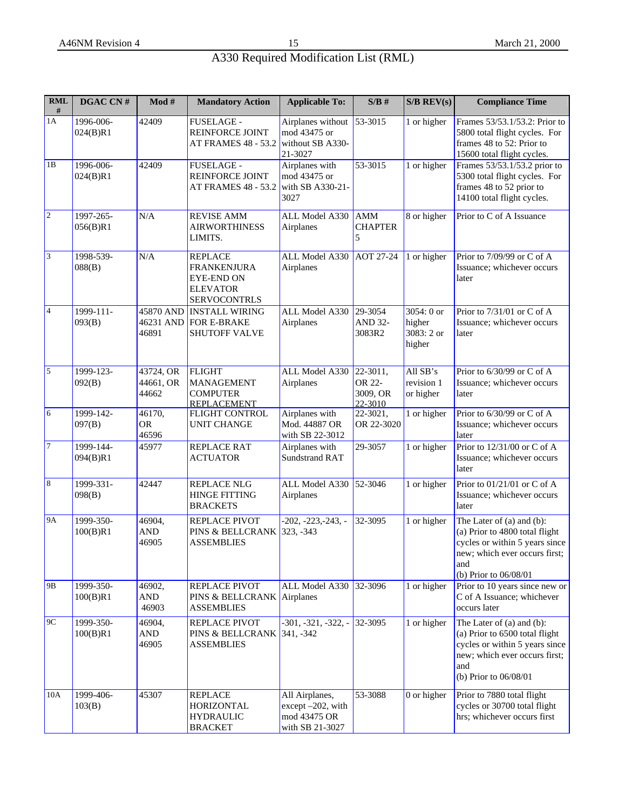| <b>RML</b><br>#          | DGAC CN#              | $\mathbf{Mod} \ \#$             | <b>Mandatory Action</b>                                                                             | <b>Applicable To:</b>                                                  | S/B#                                                 | $S/B$ REV(s)                                 | <b>Compliance Time</b>                                                                                                                                           |
|--------------------------|-----------------------|---------------------------------|-----------------------------------------------------------------------------------------------------|------------------------------------------------------------------------|------------------------------------------------------|----------------------------------------------|------------------------------------------------------------------------------------------------------------------------------------------------------------------|
| 1A                       | 1996-006-<br>024(B)R1 | 42409                           | FUSELAGE -<br>REINFORCE JOINT<br>AT FRAMES 48 - 53.2                                                | Airplanes without<br>mod 43475 or<br>without SB A330-<br>21-3027       | 53-3015                                              | 1 or higher                                  | Frames 53/53.1/53.2: Prior to<br>5800 total flight cycles. For<br>frames 48 to 52: Prior to<br>15600 total flight cycles.                                        |
| 1B                       | 1996-006-<br>024(B)R1 | 42409                           | <b>FUSELAGE -</b><br><b>REINFORCE JOINT</b><br><b>AT FRAMES 48 - 53.2</b>                           | Airplanes with<br>mod 43475 or<br>with SB A330-21-<br>3027             | 53-3015                                              | 1 or higher                                  | Frames 53/53.1/53.2 prior to<br>5300 total flight cycles. For<br>frames 48 to 52 prior to<br>14100 total flight cycles.                                          |
| 2                        | 1997-265-<br>056(B)R1 | N/A                             | <b>REVISE AMM</b><br><b>AIRWORTHINESS</b><br>LIMITS.                                                | ALL Model A330<br>Airplanes                                            | <b>AMM</b><br><b>CHAPTER</b><br>5                    | 8 or higher                                  | Prior to C of A Issuance                                                                                                                                         |
| 3                        | 1998-539-<br>088(B)   | N/A                             | <b>REPLACE</b><br><b>FRANKENJURA</b><br><b>EYE-END ON</b><br><b>ELEVATOR</b><br><b>SERVOCONTRLS</b> | ALL Model A330<br>Airplanes                                            | <b>AOT 27-24</b>                                     | 1 or higher                                  | Prior to 7/09/99 or C of A<br>Issuance; whichever occurs<br>later                                                                                                |
| $\overline{4}$           | 1999-111-<br>093(B)   | 45870 AND<br>46231 AND<br>46891 | <b>INSTALL WIRING</b><br>FOR E-BRAKE<br><b>SHUTOFF VALVE</b>                                        | ALL Model A330<br>Airplanes                                            | 29-3054<br>AND 32-<br>3083R2                         | 3054: 0 or<br>higher<br>3083: 2 or<br>higher | Prior to 7/31/01 or C of A<br>Issuance; whichever occurs<br>later                                                                                                |
| $\overline{\phantom{a}}$ | 1999-123-<br>092(B)   | 43724, OR<br>44661, OR<br>44662 | <b>FLIGHT</b><br><b>MANAGEMENT</b><br><b>COMPUTER</b><br><b>REPLACEMENT</b>                         | ALL Model A330<br>Airplanes                                            | $\sqrt{22} - 3011,$<br>OR 22-<br>3009, OR<br>22-3010 | All SB's<br>revision 1<br>or higher          | Prior to 6/30/99 or C of A<br>Issuance; whichever occurs<br>later                                                                                                |
| $6\overline{6}$          | 1999-142-<br>097(B)   | 46170,<br><b>OR</b><br>46596    | FLIGHT CONTROL<br><b>UNIT CHANGE</b>                                                                | Airplanes with<br>Mod. 44887 OR<br>with SB 22-3012                     | 22-3021,<br>OR 22-3020                               | 1 or higher                                  | Prior to 6/30/99 or C of A<br>Issuance; whichever occurs<br>later                                                                                                |
| $\overline{7}$           | 1999-144-<br>094(B)R1 | 45977                           | <b>REPLACE RAT</b><br><b>ACTUATOR</b>                                                               | Airplanes with<br><b>Sundstrand RAT</b>                                | 29-3057                                              | 1 or higher                                  | Prior to $12/31/00$ or C of A<br>Issuance; whichever occurs<br>later                                                                                             |
| $\,8\,$                  | 1999-331-<br>098(B)   | 42447                           | REPLACE NLG<br><b>HINGE FITTING</b><br><b>BRACKETS</b>                                              | ALL Model A330<br>Airplanes                                            | 52-3046                                              | 1 or higher                                  | Prior to $01/21/01$ or C of A<br>Issuance; whichever occurs<br>later                                                                                             |
| <b>9A</b>                | 1999-350-<br>100(B)R1 | 46904,<br><b>AND</b><br>46905   | REPLACE PIVOT<br>PINS & BELLCRANK<br><b>ASSEMBLIES</b>                                              | $-202, -223, -243, -$<br>$323, -343$                                   | 32-3095                                              | 1 or higher                                  | The Later of (a) and (b):<br>(a) Prior to 4800 total flight<br>cycles or within 5 years since<br>new; which ever occurs first;<br>and<br>(b) Prior to $06/08/01$ |
| 9B                       | 1999-350-<br>100(B)R1 | 46902,<br><b>AND</b><br>46903   | REPLACE PIVOT<br>PINS & BELLCRANK<br><b>ASSEMBLIES</b>                                              | ALL Model A330 32-3096<br>Airplanes                                    |                                                      | 1 or higher                                  | Prior to 10 years since new or<br>C of A Issuance; whichever<br>occurs later                                                                                     |
| 9C                       | 1999-350-<br>100(B)R1 | 46904,<br><b>AND</b><br>46905   | REPLACE PIVOT<br>PINS & BELLCRANK 341, -342<br><b>ASSEMBLIES</b>                                    | $-301, -321, -322, -$                                                  | 32-3095                                              | 1 or higher                                  | The Later of (a) and (b):<br>(a) Prior to 6500 total flight<br>cycles or within 5 years since<br>new; which ever occurs first;<br>and<br>(b) Prior to 06/08/01   |
| 10A                      | 1999-406-<br>103(B)   | 45307                           | <b>REPLACE</b><br>HORIZONTAL<br><b>HYDRAULIC</b><br><b>BRACKET</b>                                  | All Airplanes,<br>except -202, with<br>mod 43475 OR<br>with SB 21-3027 | 53-3088                                              | 0 or higher                                  | Prior to 7880 total flight<br>cycles or 30700 total flight<br>hrs; whichever occurs first                                                                        |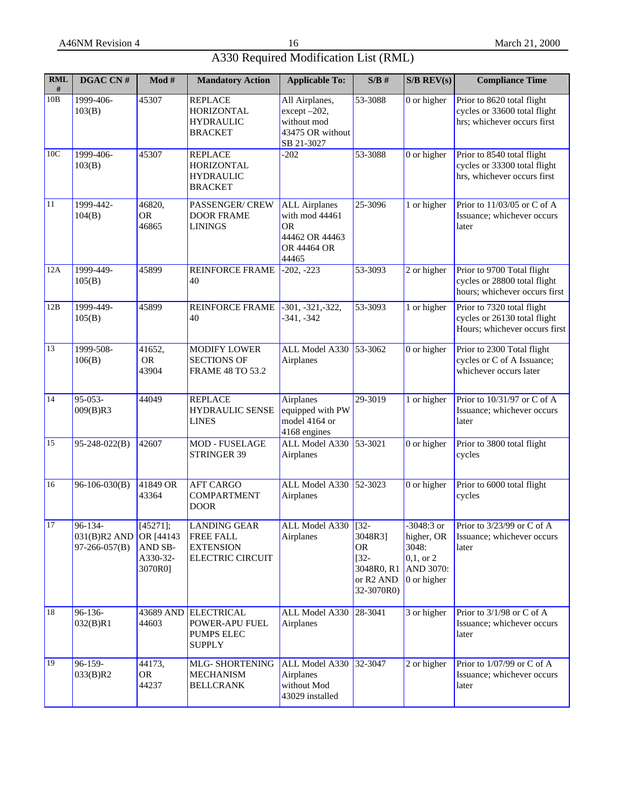| $\mathbf{RML}$<br># | DGAC CN#                                                  | Mod #                                      | <b>Mandatory Action</b>                                                                | <b>Applicable To:</b>                                                                  | S/B#                                                                                | $S/B$ REV(s)                                                                   | <b>Compliance Time</b>                                                                      |
|---------------------|-----------------------------------------------------------|--------------------------------------------|----------------------------------------------------------------------------------------|----------------------------------------------------------------------------------------|-------------------------------------------------------------------------------------|--------------------------------------------------------------------------------|---------------------------------------------------------------------------------------------|
| 10B                 | 1999-406-<br>103(B)                                       | 45307                                      | <b>REPLACE</b><br>HORIZONTAL<br><b>HYDRAULIC</b><br><b>BRACKET</b>                     | All Airplanes,<br>except-202,<br>without mod<br>43475 OR without<br>SB 21-3027         | 53-3088                                                                             | 0 or higher                                                                    | Prior to 8620 total flight<br>cycles or 33600 total flight<br>hrs; whichever occurs first   |
| 10C                 | 1999-406-<br>103(B)                                       | 45307                                      | <b>REPLACE</b><br><b>HORIZONTAL</b><br><b>HYDRAULIC</b><br><b>BRACKET</b>              | $-202$                                                                                 | 53-3088                                                                             | 0 or higher                                                                    | Prior to 8540 total flight<br>cycles or 33300 total flight<br>hrs, whichever occurs first   |
| 11                  | 1999-442-<br>104(B)                                       | 46820,<br><b>OR</b><br>46865               | <b>PASSENGER/CREW</b><br><b>DOOR FRAME</b><br><b>LININGS</b>                           | <b>ALL</b> Airplanes<br>with mod 44461<br>0R<br>44462 OR 44463<br>OR 44464 OR<br>44465 | 25-3096                                                                             | 1 or higher                                                                    | Prior to $11/03/05$ or C of A<br>Issuance; whichever occurs<br>later                        |
| $\overline{1}2A$    | 1999-449-<br>105(B)                                       | 45899                                      | <b>REINFORCE FRAME</b><br>40                                                           | $-202, -223$                                                                           | 53-3093                                                                             | 2 or higher                                                                    | Prior to 9700 Total flight<br>cycles or 28800 total flight<br>hours; whichever occurs first |
| 12B                 | 1999-449-<br>105(B)                                       | 45899                                      | REINFORCE FRAME<br>40                                                                  | $-301, -321, -322,$<br>$-341, -342$                                                    | 53-3093                                                                             | 1 or higher                                                                    | Prior to 7320 total flight<br>cycles or 26130 total flight<br>Hours; whichever occurs first |
| 13                  | 1999-508-<br>106(B)                                       | 41652,<br><b>OR</b><br>43904               | <b>MODIFY LOWER</b><br><b>SECTIONS OF</b><br><b>FRAME 48 TO 53.2</b>                   | ALL Model A330 53-3062<br>Airplanes                                                    |                                                                                     | 0 or higher                                                                    | Prior to 2300 Total flight<br>cycles or C of A Issuance;<br>whichever occurs later          |
| 14                  | 95-053-<br>009(B)R3                                       | 44049                                      | <b>REPLACE</b><br><b>HYDRAULIC SENSE</b><br><b>LINES</b>                               | Airplanes<br>equipped with PW<br>model 4164 or<br>4168 engines                         | 29-3019                                                                             | 1 or higher                                                                    | Prior to 10/31/97 or C of A<br>Issuance; whichever occurs<br>later                          |
| 15                  | $95-248-022(B)$                                           | 42607                                      | MOD - FUSELAGE<br>STRINGER 39                                                          | ALL Model A330 53-3021<br>Airplanes                                                    |                                                                                     | 0 or higher                                                                    | Prior to 3800 total flight<br>cycles                                                        |
| 16                  | 96-106-030(B)                                             | 41849 OR<br>43364                          | <b>AFT CARGO</b><br><b>COMPARTMENT</b><br><b>DOOR</b>                                  | ALL Model A330 52-3023<br>Airplanes                                                    |                                                                                     | 0 or higher                                                                    | Prior to 6000 total flight<br>cycles                                                        |
| 17                  | $96 - 134 -$<br>031(B)R2 AND OR [44143<br>$97-266-057(B)$ | [45271];<br>AND SB-<br>A330-32-<br>3070R0] | <b>LANDING GEAR</b><br><b>FREE FALL</b><br><b>EXTENSION</b><br><b>ELECTRIC CIRCUIT</b> | ALL Model A330 [32-<br>Airplanes                                                       | 3048R3]<br><b>OR</b><br>$[32-$<br>3048R0, R1<br>or R <sub>2</sub> AND<br>32-3070R0) | $-3048:3$ or<br>higher, OR<br>3048:<br>$0,1,$ or 2<br>AND 3070:<br>0 or higher | Prior to $3/23/99$ or C of A<br>Issuance; whichever occurs<br>later                         |
| 18                  | $96-136-$<br>032(B)R1                                     | 43689 AND<br>44603                         | <b>ELECTRICAL</b><br>POWER-APU FUEL<br><b>PUMPS ELEC</b><br><b>SUPPLY</b>              | ALL Model A330<br>Airplanes                                                            | $28 - 3041$                                                                         | 3 or higher                                                                    | Prior to $3/1/98$ or C of A<br>Issuance; whichever occurs<br>later                          |
| 19                  | 96-159-<br>033(B)R2                                       | 44173,<br><b>OR</b><br>44237               | MLG- SHORTENING<br><b>MECHANISM</b><br><b>BELLCRANK</b>                                | ALL Model A330 32-3047<br>Airplanes<br>without Mod<br>43029 installed                  |                                                                                     | 2 or higher                                                                    | Prior to $1/07/99$ or C of A<br>Issuance; whichever occurs<br>later                         |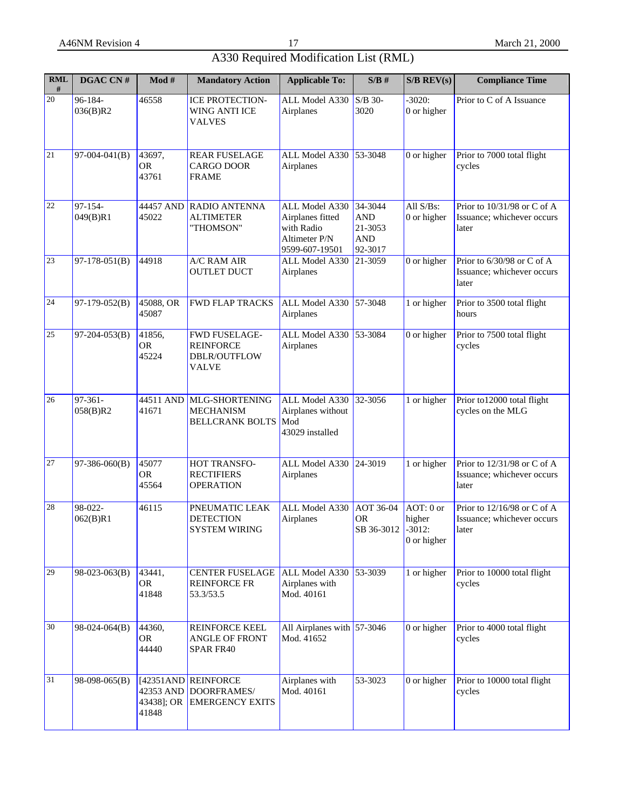| <b>RML</b><br># | DGAC CN#                 | Mod #                            | <b>Mandatory Action</b>                                           | <b>Applicable To:</b>                                                               | S/B#                                                          | $S/B$ REV(s)                                     | <b>Compliance Time</b>                                             |
|-----------------|--------------------------|----------------------------------|-------------------------------------------------------------------|-------------------------------------------------------------------------------------|---------------------------------------------------------------|--------------------------------------------------|--------------------------------------------------------------------|
| 20              | 96-184-<br>036(B)R2      | 46558                            | <b>ICE PROTECTION-</b><br>WING ANTI ICE<br>VALVES                 | ALL Model A330<br>Airplanes                                                         | S/B 30-<br>3020                                               | $-3020:$<br>0 or higher                          | Prior to C of A Issuance                                           |
| 21              | $97-004-041(B)$          | 43697,<br><b>OR</b><br>43761     | <b>REAR FUSELAGE</b><br>CARGO DOOR<br><b>FRAME</b>                | ALL Model A330<br>Airplanes                                                         | 53-3048                                                       | 0 or higher                                      | Prior to 7000 total flight<br>cycles                               |
| 22              | 97-154-<br>049(B)R1      | 44457 AND<br>45022               | RADIO ANTENNA<br><b>ALTIMETER</b><br>"THOMSON"                    | ALL Model A330<br>Airplanes fitted<br>with Radio<br>Altimeter P/N<br>9599-607-19501 | 34-3044<br><b>AND</b><br>$21 - 3053$<br><b>AND</b><br>92-3017 | All S/Bs:<br>0 or higher                         | Prior to 10/31/98 or C of A<br>Issuance; whichever occurs<br>later |
| 23              | $97-178-051(B)$          | 44918                            | A/C RAM AIR<br><b>OUTLET DUCT</b>                                 | ALL Model A330<br>Airplanes                                                         | 21-3059                                                       | $\overline{0}$ or higher                         | Prior to 6/30/98 or C of A<br>Issuance; whichever occurs<br>later  |
| 24              | $97-179-052(B)$          | 45088, OR<br>45087               | <b>FWD FLAP TRACKS</b>                                            | ALL Model A330<br>Airplanes                                                         | 57-3048                                                       | 1 or higher                                      | Prior to 3500 total flight<br>hours                                |
| 25              | $97-204-053(B)$          | 41856,<br><b>OR</b><br>45224     | FWD FUSELAGE-<br><b>REINFORCE</b><br>DBLR/OUTFLOW<br><b>VALVE</b> | ALL Model A330<br>Airplanes                                                         | 53-3084                                                       | 0 or higher                                      | Prior to 7500 total flight<br>cycles                               |
| 26              | $97 - 361 -$<br>058(B)R2 | 44511 AND<br>41671               | MLG-SHORTENING<br><b>MECHANISM</b><br><b>BELLCRANK BOLTS</b>      | ALL Model A330<br>Airplanes without<br>Mod<br>43029 installed                       | 32-3056                                                       | 1 or higher                                      | Prior to12000 total flight<br>cycles on the MLG                    |
| 27              | $97-386-060(B)$          | 45077<br><b>OR</b><br>45564      | HOT TRANSFO-<br><b>RECTIFIERS</b><br><b>OPERATION</b>             | ALL Model A330<br>Airplanes                                                         | $24 - 3019$                                                   | 1 or higher                                      | Prior to 12/31/98 or C of A<br>Issuance; whichever occurs<br>later |
| 28              | 98-022-<br>062(B)R1      | 46115                            | PNEUMATIC LEAK<br><b>DETECTION</b><br><b>SYSTEM WIRING</b>        | ALL Model A330<br>Airplanes                                                         | AOT 36-04<br><b>OR</b><br>SB 36-3012                          | AOT: 0 or<br>higher<br>$-3012:$<br>$0$ or higher | Prior to 12/16/98 or C of A<br>Issuance; whichever occurs<br>later |
| 29              | $98-023-063(B)$          | 43441,<br><b>OR</b><br>41848     | <b>CENTER FUSELAGE</b><br><b>REINFORCE FR</b><br>53.3/53.5        | ALL Model A330 53-3039<br>Airplanes with<br>Mod. 40161                              |                                                               | 1 or higher                                      | Prior to 10000 total flight<br>cycles                              |
| 30              | $98-024-064(B)$          | 44360,<br><b>OR</b><br>44440     | REINFORCE KEEL<br>ANGLE OF FRONT<br>SPAR FR40                     | All Airplanes with $ 57-3046$<br>Mod. 41652                                         |                                                               | $0$ or higher                                    | Prior to 4000 total flight<br>cycles                               |
| 31              | $98-098-065(B)$          | 42353 AND<br>43438]; OR<br>41848 | $[42351AND]$ REINFORCE<br>DOORFRAMES/<br><b>EMERGENCY EXITS</b>   | Airplanes with<br>Mod. 40161                                                        | 53-3023                                                       | $0$ or higher                                    | Prior to 10000 total flight<br>cycles                              |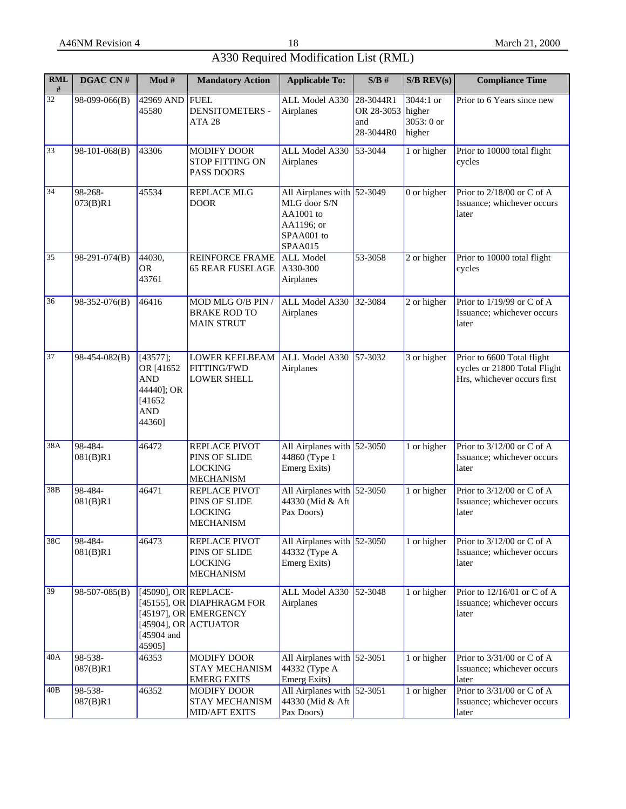| <b>RML</b><br># | DGAC CN#            | $\mathbf{Mod} \ \#$                                                            | <b>Mandatory Action</b>                                                                                  | <b>Applicable To:</b>                                                                            | S/B#                                        | $S/B$ REV(s)                                | <b>Compliance Time</b>                                                                    |
|-----------------|---------------------|--------------------------------------------------------------------------------|----------------------------------------------------------------------------------------------------------|--------------------------------------------------------------------------------------------------|---------------------------------------------|---------------------------------------------|-------------------------------------------------------------------------------------------|
| 32              | 98-099-066(B)       | 42969 AND<br>45580                                                             | <b>FUEL</b><br><b>DENSITOMETERS -</b><br>ATA <sub>28</sub>                                               | ALL Model A330<br>Airplanes                                                                      | 28-3044R1<br>OR 28-3053<br>and<br>28-3044R0 | 3044:1 or<br>higher<br>3053: 0 or<br>higher | Prior to 6 Years since new                                                                |
| 33              | 98-101-068(B)       | 43306                                                                          | <b>MODIFY DOOR</b><br><b>STOP FITTING ON</b><br>PASS DOORS                                               | ALL Model A330<br>Airplanes                                                                      | 53-3044                                     | 1 or higher                                 | Prior to 10000 total flight<br>cycles                                                     |
| 34              | 98-268-<br>073(B)R1 | 45534                                                                          | <b>REPLACE MLG</b><br><b>DOOR</b>                                                                        | All Airplanes with $52-3049$<br>MLG door S/N<br>AA1001 to<br>AA1196; or<br>SPAA001 to<br>SPAA015 |                                             | 0 or higher                                 | Prior to 2/18/00 or C of A<br>Issuance; whichever occurs<br>later                         |
| 35              | $98-291-074(B)$     | 44030,<br><b>OR</b><br>43761                                                   | <b>REINFORCE FRAME</b><br><b>65 REAR FUSELAGE</b>                                                        | <b>ALL Model</b><br>A330-300<br>Airplanes                                                        | 53-3058                                     | 2 or higher                                 | Prior to 10000 total flight<br>cycles                                                     |
| 36              | 98-352-076(B)       | 46416                                                                          | MOD MLG O/B PIN /<br><b>BRAKE ROD TO</b><br><b>MAIN STRUT</b>                                            | ALL Model A330<br>Airplanes                                                                      | 32-3084                                     | 2 or higher                                 | Prior to 1/19/99 or C of A<br>Issuance; whichever occurs<br>later                         |
| 37              | 98-454-082(B)       | [43577];<br>OR [41652]<br><b>AND</b><br>44440]; OR<br>[41652]<br>AND<br>44360] | <b>LOWER KEELBEAM</b><br><b>FITTING/FWD</b><br><b>LOWER SHELL</b>                                        | ALL Model A330<br>Airplanes                                                                      | $57 - 3032$                                 | 3 or higher                                 | Prior to 6600 Total flight<br>cycles or 21800 Total Flight<br>Hrs, whichever occurs first |
| 38A             | 98-484-<br>081(B)R1 | 46472                                                                          | REPLACE PIVOT<br>PINS OF SLIDE<br><b>LOCKING</b><br><b>MECHANISM</b>                                     | All Airplanes with $52-3050$<br>44860 (Type 1<br>Emerg Exits)                                    |                                             | 1 or higher                                 | Prior to 3/12/00 or C of A<br>Issuance; whichever occurs<br>later                         |
| 38B             | 98-484-<br>081(B)R1 | 46471                                                                          | REPLACE PIVOT<br>PINS OF SLIDE<br><b>LOCKING</b><br><b>MECHANISM</b>                                     | All Airplanes with $52-3050$<br>44330 (Mid & Aft<br>Pax Doors)                                   |                                             | 1 or higher                                 | Prior to 3/12/00 or C of A<br>Issuance; whichever occurs<br>later                         |
| 38C             | 98-484-<br>081(B)R1 | 46473                                                                          | REPLACE PIVOT<br>PINS OF SLIDE<br><b>LOCKING</b><br><b>MECHANISM</b>                                     | All Airplanes with 52-3050<br>44332 (Type A<br>Emerg Exits)                                      |                                             | 1 or higher                                 | Prior to 3/12/00 or C of A<br>Issuance; whichever occurs<br>later                         |
| 39              | 98-507-085(B)       | [45904 and<br>45905]                                                           | $[45090]$ , OR REPLACE-<br>[45155], OR DIAPHRAGM FOR<br>[45197], OR EMERGENCY<br>[45904], OR $ ACTUATOR$ | ALL Model A330<br>Airplanes                                                                      | $52 - 3048$                                 | 1 or higher                                 | Prior to $12/16/01$ or C of A<br>Issuance; whichever occurs<br>later                      |
| 40A             | 98-538-<br>087(B)R1 | 46353                                                                          | <b>MODIFY DOOR</b><br>STAY MECHANISM<br><b>EMERG EXITS</b>                                               | All Airplanes with 52-3051<br>44332 (Type A<br>Emerg Exits)                                      |                                             | 1 or higher                                 | Prior to 3/31/00 or C of A<br>Issuance; whichever occurs<br>later                         |
| 40B             | 98-538-<br>087(B)R1 | 46352                                                                          | MODIFY DOOR<br>STAY MECHANISM<br>MID/AFT EXITS                                                           | All Airplanes with $52-3051$<br>44330 (Mid & Aft<br>Pax Doors)                                   |                                             | 1 or higher                                 | Prior to 3/31/00 or C of A<br>Issuance; whichever occurs<br>later                         |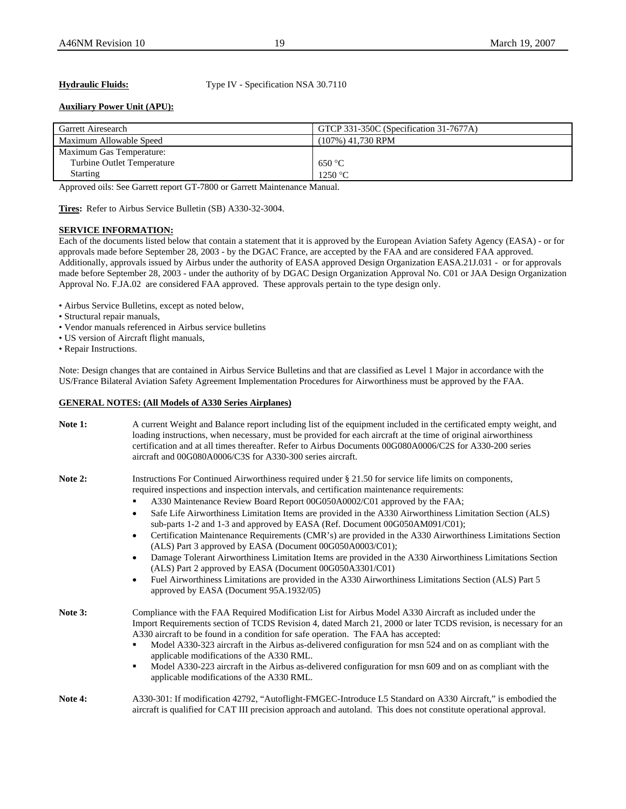**Hydraulic Fluids:** Type IV - Specification NSA 30.7110

# **Auxiliary Power Unit (APU):**

| Garrett Airesearch         | GTCP 331-350C (Specification 31-7677A) |
|----------------------------|----------------------------------------|
| Maximum Allowable Speed    | $(107\%)$ 41,730 RPM                   |
| Maximum Gas Temperature:   |                                        |
| Turbine Outlet Temperature | $-650 °C$                              |
| <b>Starting</b>            | 1250 °C                                |

Approved oils: See Garrett report GT-7800 or Garrett Maintenance Manual.

**Tires:** Refer to Airbus Service Bulletin (SB) A330-32-3004.

# **SERVICE INFORMATION:**

Each of the documents listed below that contain a statement that it is approved by the European Aviation Safety Agency (EASA) - or for approvals made before September 28, 2003 - by the DGAC France, are accepted by the FAA and are considered FAA approved. Additionally, approvals issued by Airbus under the authority of EASA approved Design Organization EASA.21J.031 - or for approvals made before September 28, 2003 - under the authority of by DGAC Design Organization Approval No. C01 or JAA Design Organization Approval No. F.JA.02 are considered FAA approved. These approvals pertain to the type design only.

- Airbus Service Bulletins, except as noted below,
- Structural repair manuals,
- Vendor manuals referenced in Airbus service bulletins
- US version of Aircraft flight manuals,
- Repair Instructions.

Note: Design changes that are contained in Airbus Service Bulletins and that are classified as Level 1 Major in accordance with the US/France Bilateral Aviation Safety Agreement Implementation Procedures for Airworthiness must be approved by the FAA.

### **GENERAL NOTES: (All Models of A330 Series Airplanes)**

| Note 1: | A current Weight and Balance report including list of the equipment included in the certificated empty weight, and<br>loading instructions, when necessary, must be provided for each aircraft at the time of original airworthiness<br>certification and at all times thereafter. Refer to Airbus Documents 00G080A0006/C2S for A330-200 series<br>aircraft and 00G080A0006/C3S for A330-300 series aircraft.                                                                                                                                                                                                                                                                                                                                                                                                                                                                                                                                                                                                 |
|---------|----------------------------------------------------------------------------------------------------------------------------------------------------------------------------------------------------------------------------------------------------------------------------------------------------------------------------------------------------------------------------------------------------------------------------------------------------------------------------------------------------------------------------------------------------------------------------------------------------------------------------------------------------------------------------------------------------------------------------------------------------------------------------------------------------------------------------------------------------------------------------------------------------------------------------------------------------------------------------------------------------------------|
| Note 2: | Instructions For Continued Airworthiness required under § 21.50 for service life limits on components,<br>required inspections and inspection intervals, and certification maintenance requirements:<br>A330 Maintenance Review Board Report 00G050A0002/C01 approved by the FAA;<br>Safe Life Airworthiness Limitation Items are provided in the A330 Airworthiness Limitation Section (ALS)<br>$\bullet$<br>sub-parts 1-2 and 1-3 and approved by EASA (Ref. Document 00G050AM091/C01);<br>Certification Maintenance Requirements (CMR's) are provided in the A330 Airworthiness Limitations Section<br>(ALS) Part 3 approved by EASA (Document 00G050A0003/C01);<br>Damage Tolerant Airworthiness Limitation Items are provided in the A330 Airworthiness Limitations Section<br>(ALS) Part 2 approved by EASA (Document 00G050A3301/C01)<br>Fuel Airworthiness Limitations are provided in the A330 Airworthiness Limitations Section (ALS) Part 5<br>$\bullet$<br>approved by EASA (Document 95A.1932/05) |
| Note 3: | Compliance with the FAA Required Modification List for Airbus Model A330 Aircraft as included under the<br>Import Requirements section of TCDS Revision 4, dated March 21, 2000 or later TCDS revision, is necessary for an<br>A330 aircraft to be found in a condition for safe operation. The FAA has accepted:<br>Model A330-323 aircraft in the Airbus as-delivered configuration for msn 524 and on as compliant with the<br>applicable modifications of the A330 RML.<br>Model A330-223 aircraft in the Airbus as-delivered configuration for msn 609 and on as compliant with the<br>٠<br>applicable modifications of the A330 RML.                                                                                                                                                                                                                                                                                                                                                                     |
| Note 4: | A330-301: If modification 42792, "Autoflight-FMGEC-Introduce L5 Standard on A330 Aircraft," is embodied the<br>aircraft is qualified for CAT III precision approach and autoland. This does not constitute operational approval.                                                                                                                                                                                                                                                                                                                                                                                                                                                                                                                                                                                                                                                                                                                                                                               |